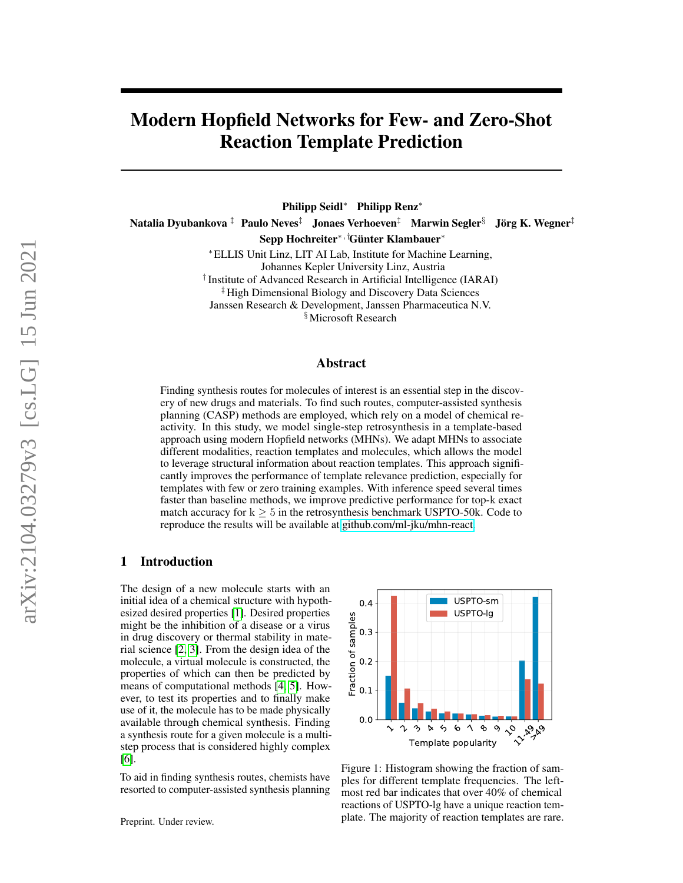# Modern Hopfield Networks for Few- and Zero-Shot Reaction Template Prediction

Philipp Seidl<sup>∗</sup> Philipp Renz<sup>∗</sup> Natalia Dyubankova ‡ Paulo Neves<sup>‡</sup> Jonaes Verhoeven<sup>‡</sup> Marwin Segler<sup>§</sup> Jörg K. Wegner<sup>‡</sup> Sepp Hochreiter∗,†Günter Klambauer<sup>∗</sup>

> <sup>∗</sup>ELLIS Unit Linz, LIT AI Lab, Institute for Machine Learning, Johannes Kepler University Linz, Austria † Institute of Advanced Research in Artificial Intelligence (IARAI) ‡High Dimensional Biology and Discovery Data Sciences

Janssen Research & Development, Janssen Pharmaceutica N.V.

§Microsoft Research

#### Abstract

Finding synthesis routes for molecules of interest is an essential step in the discovery of new drugs and materials. To find such routes, computer-assisted synthesis planning (CASP) methods are employed, which rely on a model of chemical reactivity. In this study, we model single-step retrosynthesis in a template-based approach using modern Hopfield networks (MHNs). We adapt MHNs to associate different modalities, reaction templates and molecules, which allows the model to leverage structural information about reaction templates. This approach significantly improves the performance of template relevance prediction, especially for templates with few or zero training examples. With inference speed several times faster than baseline methods, we improve predictive performance for top-k exact match accuracy for  $k \geq 5$  in the retrosynthesis benchmark USPTO-50k. Code to reproduce the results will be available at [github.com/ml-jku/mhn-react.](https://github.com/ml-jku/mhn-react)

#### <span id="page-0-1"></span>1 Introduction

The design of a new molecule starts with an initial idea of a chemical structure with hypothesized desired properties [\[1\]](#page-9-0). Desired properties might be the inhibition of a disease or a virus in drug discovery or thermal stability in material science [\[2,](#page-9-1) [3\]](#page-9-2). From the design idea of the molecule, a virtual molecule is constructed, the properties of which can then be predicted by means of computational methods [\[4,](#page-9-3) [5\]](#page-9-4). However, to test its properties and to finally make use of it, the molecule has to be made physically available through chemical synthesis. Finding a synthesis route for a given molecule is a multistep process that is considered highly complex [\[6\]](#page-9-5).

To aid in finding synthesis routes, chemists have resorted to computer-assisted synthesis planning

Preprint. Under review.



<span id="page-0-0"></span>Figure 1: Histogram showing the fraction of samples for different template frequencies. The leftmost red bar indicates that over 40% of chemical reactions of USPTO-lg have a unique reaction template. The majority of reaction templates are rare.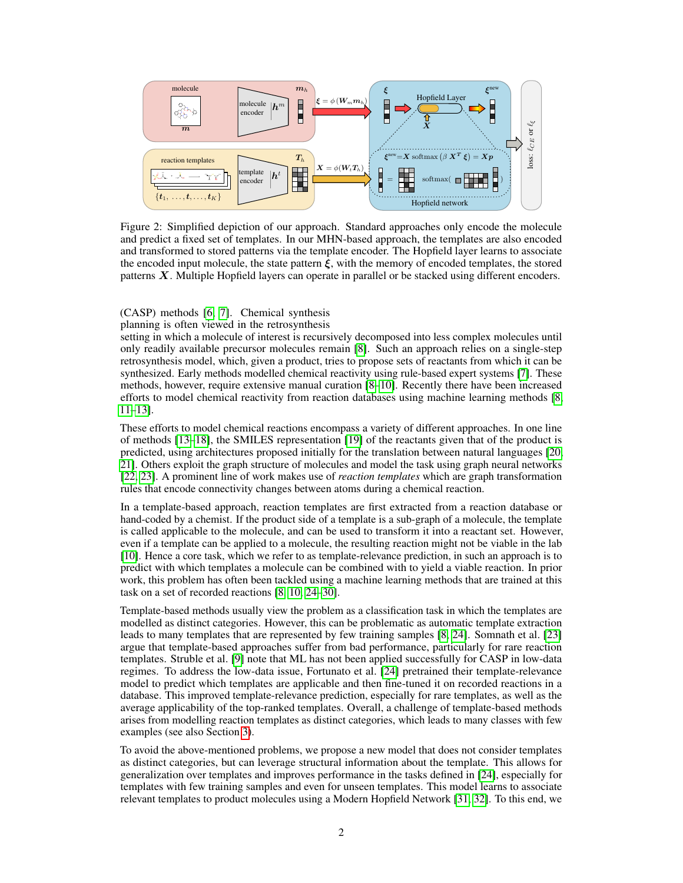

<span id="page-1-0"></span>Figure 2: Simplified depiction of our approach. Standard approaches only encode the molecule and predict a fixed set of templates. In our MHN-based approach, the templates are also encoded and transformed to stored patterns via the template encoder. The Hopfield layer learns to associate the encoded input molecule, the state pattern  $\hat{\xi}$ , with the memory of encoded templates, the stored patterns X. Multiple Hopfield layers can operate in parallel or be stacked using different encoders.

## (CASP) methods [\[6,](#page-9-5) [7\]](#page-9-6). Chemical synthesis

#### planning is often viewed in the retrosynthesis

setting in which a molecule of interest is recursively decomposed into less complex molecules until only readily available precursor molecules remain [\[8\]](#page-10-0). Such an approach relies on a single-step retrosynthesis model, which, given a product, tries to propose sets of reactants from which it can be synthesized. Early methods modelled chemical reactivity using rule-based expert systems [\[7\]](#page-9-6). These methods, however, require extensive manual curation [\[8–](#page-10-0)[10\]](#page-10-1). Recently there have been increased efforts to model chemical reactivity from reaction databases using machine learning methods [\[8,](#page-10-0) [11](#page-10-2)[–13\]](#page-10-3).

These efforts to model chemical reactions encompass a variety of different approaches. In one line of methods [\[13](#page-10-3)[–18\]](#page-10-4), the SMILES representation [\[19\]](#page-10-5) of the reactants given that of the product is predicted, using architectures proposed initially for the translation between natural languages [\[20,](#page-10-6) [21\]](#page-10-7). Others exploit the graph structure of molecules and model the task using graph neural networks [\[22,](#page-10-8) [23\]](#page-10-9). A prominent line of work makes use of *reaction templates* which are graph transformation rules that encode connectivity changes between atoms during a chemical reaction.

In a template-based approach, reaction templates are first extracted from a reaction database or hand-coded by a chemist. If the product side of a template is a sub-graph of a molecule, the template is called applicable to the molecule, and can be used to transform it into a reactant set. However, even if a template can be applied to a molecule, the resulting reaction might not be viable in the lab [\[10\]](#page-10-1). Hence a core task, which we refer to as template-relevance prediction, in such an approach is to predict with which templates a molecule can be combined with to yield a viable reaction. In prior work, this problem has often been tackled using a machine learning methods that are trained at this task on a set of recorded reactions [\[8,](#page-10-0) [10,](#page-10-1) [24](#page-10-10)[–30\]](#page-11-0).

Template-based methods usually view the problem as a classification task in which the templates are modelled as distinct categories. However, this can be problematic as automatic template extraction leads to many templates that are represented by few training samples [\[8,](#page-10-0) [24\]](#page-10-10). Somnath et al. [\[23\]](#page-10-9) argue that template-based approaches suffer from bad performance, particularly for rare reaction templates. Struble et al. [\[9\]](#page-10-11) note that ML has not been applied successfully for CASP in low-data regimes. To address the low-data issue, Fortunato et al. [\[24\]](#page-10-10) pretrained their template-relevance model to predict which templates are applicable and then fine-tuned it on recorded reactions in a database. This improved template-relevance prediction, especially for rare templates, as well as the average applicability of the top-ranked templates. Overall, a challenge of template-based methods arises from modelling reaction templates as distinct categories, which leads to many classes with few examples (see also Section [3\)](#page-3-0).

To avoid the above-mentioned problems, we propose a new model that does not consider templates as distinct categories, but can leverage structural information about the template. This allows for generalization over templates and improves performance in the tasks defined in [\[24\]](#page-10-10), especially for templates with few training samples and even for unseen templates. This model learns to associate relevant templates to product molecules using a Modern Hopfield Network [\[31,](#page-11-1) [32\]](#page-11-2). To this end, we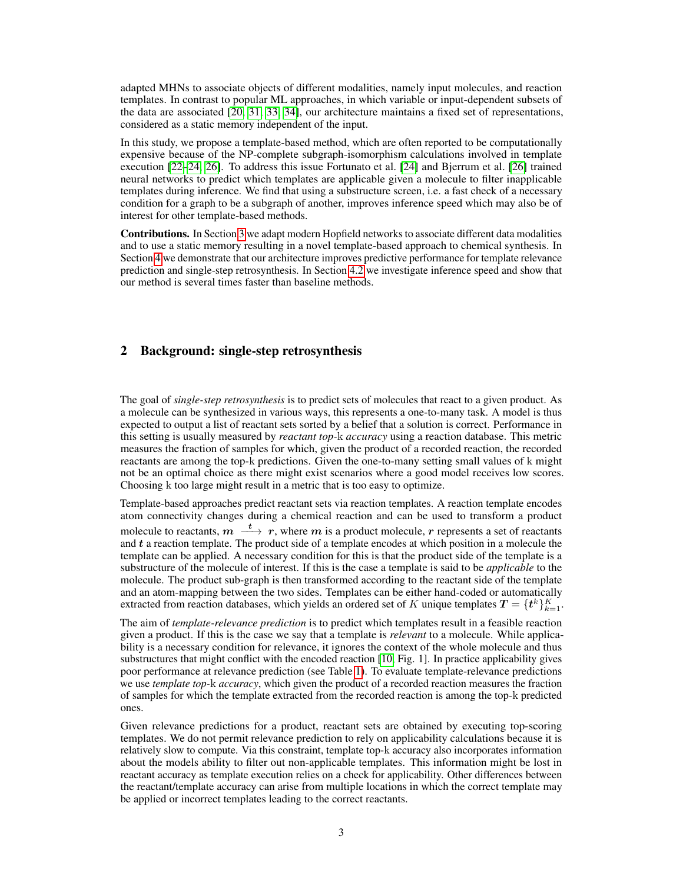adapted MHNs to associate objects of different modalities, namely input molecules, and reaction templates. In contrast to popular ML approaches, in which variable or input-dependent subsets of the data are associated [\[20,](#page-10-6) [31,](#page-11-1) [33,](#page-11-3) [34\]](#page-11-4), our architecture maintains a fixed set of representations, considered as a static memory independent of the input.

In this study, we propose a template-based method, which are often reported to be computationally expensive because of the NP-complete subgraph-isomorphism calculations involved in template execution [\[22–](#page-10-8)[24,](#page-10-10) [26\]](#page-11-5). To address this issue Fortunato et al. [\[24\]](#page-10-10) and Bjerrum et al. [\[26\]](#page-11-5) trained neural networks to predict which templates are applicable given a molecule to filter inapplicable templates during inference. We find that using a substructure screen, i.e. a fast check of a necessary condition for a graph to be a subgraph of another, improves inference speed which may also be of interest for other template-based methods.

Contributions. In Section [3](#page-3-0) we adapt modern Hopfield networks to associate different data modalities and to use a static memory resulting in a novel template-based approach to chemical synthesis. In Section [4](#page-5-0) we demonstrate that our architecture improves predictive performance for template relevance prediction and single-step retrosynthesis. In Section [4.2](#page-8-0) we investigate inference speed and show that our method is several times faster than baseline methods.

#### <span id="page-2-0"></span>2 Background: single-step retrosynthesis

The goal of *single-step retrosynthesis* is to predict sets of molecules that react to a given product. As a molecule can be synthesized in various ways, this represents a one-to-many task. A model is thus expected to output a list of reactant sets sorted by a belief that a solution is correct. Performance in this setting is usually measured by *reactant top-*k *accuracy* using a reaction database. This metric measures the fraction of samples for which, given the product of a recorded reaction, the recorded reactants are among the top-k predictions. Given the one-to-many setting small values of k might not be an optimal choice as there might exist scenarios where a good model receives low scores. Choosing k too large might result in a metric that is too easy to optimize.

Template-based approaches predict reactant sets via reaction templates. A reaction template encodes atom connectivity changes during a chemical reaction and can be used to transform a product molecule to reactants,  $m \stackrel{t}{\longrightarrow} r$ , where  $m$  is a product molecule,  $r$  represents a set of reactants and t a reaction template. The product side of a template encodes at which position in a molecule the template can be applied. A necessary condition for this is that the product side of the template is a substructure of the molecule of interest. If this is the case a template is said to be *applicable* to the molecule. The product sub-graph is then transformed according to the reactant side of the template and an atom-mapping between the two sides. Templates can be either hand-coded or automatically extracted from reaction databases, which yields an ordered set of K unique templates  $T = \{t^k\}_{k=1}^K$ .

The aim of *template-relevance prediction* is to predict which templates result in a feasible reaction given a product. If this is the case we say that a template is *relevant* to a molecule. While applicability is a necessary condition for relevance, it ignores the context of the whole molecule and thus substructures that might conflict with the encoded reaction [\[10,](#page-10-1) Fig. 1]. In practice applicability gives poor performance at relevance prediction (see Table [1\)](#page-6-0). To evaluate template-relevance predictions we use *template top-*k *accuracy*, which given the product of a recorded reaction measures the fraction of samples for which the template extracted from the recorded reaction is among the top-k predicted ones.

Given relevance predictions for a product, reactant sets are obtained by executing top-scoring templates. We do not permit relevance prediction to rely on applicability calculations because it is relatively slow to compute. Via this constraint, template top-k accuracy also incorporates information about the models ability to filter out non-applicable templates. This information might be lost in reactant accuracy as template execution relies on a check for applicability. Other differences between the reactant/template accuracy can arise from multiple locations in which the correct template may be applied or incorrect templates leading to the correct reactants.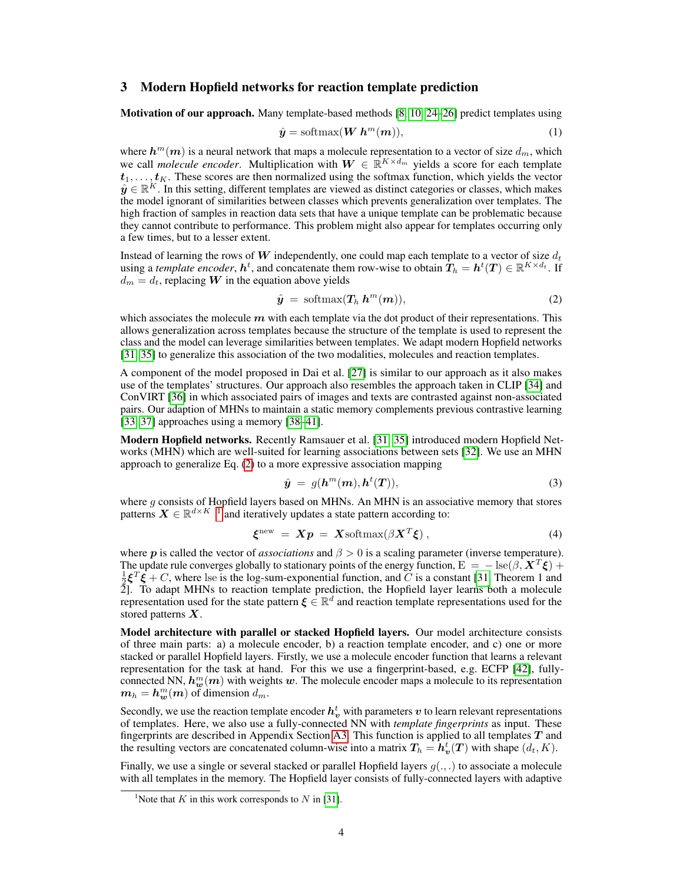#### <span id="page-3-0"></span>3 Modern Hopfield networks for reaction template prediction

Motivation of our approach. Many template-based methods [\[8,](#page-10-0) [10,](#page-10-1) [24](#page-10-10)-26] predict templates using

<span id="page-3-4"></span>
$$
\hat{y} = \text{softmax}(\boldsymbol{W} \ \boldsymbol{h}^m(\boldsymbol{m})),\tag{1}
$$

where  $\bm{h}^m(\bm{m})$  is a neural network that maps a molecule representation to a vector of size  $d_m$ , which we call *molecule encoder*. Multiplication with  $W \in \mathbb{R}^{K \times d_m}$  yields a score for each template  $t_1, \ldots, t_K$ . These scores are then normalized using the softmax function, which yields the vector  $\hat{y} \in \mathbb{R}^K$ . In this setting, different templates are viewed as distinct categories or classes, which makes the model ignorant of similarities between classes which prevents generalization over templates. The high fraction of samples in reaction data sets that have a unique template can be problematic because they cannot contribute to performance. This problem might also appear for templates occurring only a few times, but to a lesser extent.

Instead of learning the rows of W independently, one could map each template to a vector of size  $d_t$ using a *template encoder*,  $h^t$ , and concatenate them row-wise to obtain  $T_h = h^t(T) \in \mathbb{R}^{K \times d_t}$ . If  $d_m = d_t$ , replacing W in the equation above yields

<span id="page-3-1"></span>
$$
\hat{\mathbf{y}} = \text{softmax}(\mathbf{T}_h \, \mathbf{h}^m(\mathbf{m})),\tag{2}
$$

which associates the molecule  $m$  with each template via the dot product of their representations. This allows generalization across templates because the structure of the template is used to represent the class and the model can leverage similarities between templates. We adapt modern Hopfield networks [\[31,](#page-11-1) [35\]](#page-11-6) to generalize this association of the two modalities, molecules and reaction templates.

A component of the model proposed in Dai et al. [\[27\]](#page-11-7) is similar to our approach as it also makes use of the templates' structures. Our approach also resembles the approach taken in CLIP [\[34\]](#page-11-4) and ConVIRT [\[36\]](#page-11-8) in which associated pairs of images and texts are contrasted against non-associated pairs. Our adaption of MHNs to maintain a static memory complements previous contrastive learning [\[33,](#page-11-3) [37\]](#page-11-9) approaches using a memory [\[38](#page-11-10)[–41\]](#page-11-11).

Modern Hopfield networks. Recently Ramsauer et al. [\[31,](#page-11-1) [35\]](#page-11-6) introduced modern Hopfield Networks (MHN) which are well-suited for learning associations between sets [\[32\]](#page-11-2). We use an MHN approach to generalize Eq. [\(2\)](#page-3-1) to a more expressive association mapping

<span id="page-3-3"></span>
$$
\hat{\mathbf{y}} = g(\mathbf{h}^m(\mathbf{m}), \mathbf{h}^t(\mathbf{T})),\tag{3}
$$

where  $g$  consists of Hopfield layers based on MHNs. An MHN is an associative memory that stores patterns  $\mathbf{X} \in \mathbb{R}^{d \times K-1}$  $\mathbf{X} \in \mathbb{R}^{d \times K-1}$  $\mathbf{X} \in \mathbb{R}^{d \times K-1}$  and iteratively updates a state pattern according to:

$$
\boldsymbol{\xi}^{\text{new}} \ = \ \boldsymbol{X}\boldsymbol{p} \ = \ \boldsymbol{X} \text{softmax}(\beta \boldsymbol{X}^T \boldsymbol{\xi}) \,, \tag{4}
$$

where p is called the vector of *associations* and  $\beta > 0$  is a scaling parameter (inverse temperature). The update rule converges globally to stationary points of the energy function,  $E = -\text{lse}(\beta, \mathbf{X}^T\mathbf{\xi}) +$  $\frac{1}{2} \xi^T \xi + C$ , where lse is the log-sum-exponential function, and C is a constant [\[31,](#page-11-1) Theorem 1 and 2]. To adapt MHNs to reaction template prediction, the Hopfield layer learns both a molecule representation used for the state pattern  $\xi \in \mathbb{R}^d$  and reaction template representations used for the stored patterns  $X$ .

Model architecture with parallel or stacked Hopfield layers. Our model architecture consists of three main parts: a) a molecule encoder, b) a reaction template encoder, and c) one or more stacked or parallel Hopfield layers. Firstly, we use a molecule encoder function that learns a relevant representation for the task at hand. For this we use a fingerprint-based, e.g. ECFP [\[42\]](#page-11-12), fullyconnected NN,  $h_w^m(m)$  with weights w. The molecule encoder maps a molecule to its representation  $m_h = h_w^m(m)$  of dimension  $d_m$ .

Secondly, we use the reaction template encoder  $h^t_v$  with parameters  $v$  to learn relevant representations of templates. Here, we also use a fully-connected NN with *template fingerprints* as input. These fingerprints are described in Appendix Section [A3.](#page-16-0) This function is applied to all templates  $T$  and the resulting vectors are concatenated column-wise into a matrix  $T_h = h_v^t(T)$  with shape  $(d_t, K)$ .

Finally, we use a single or several stacked or parallel Hopfield layers  $g(.,.)$  to associate a molecule with all templates in the memory. The Hopfield layer consists of fully-connected layers with adaptive

<span id="page-3-2"></span><sup>&</sup>lt;sup>1</sup>Note that K in this work corresponds to N in [\[31\]](#page-11-1).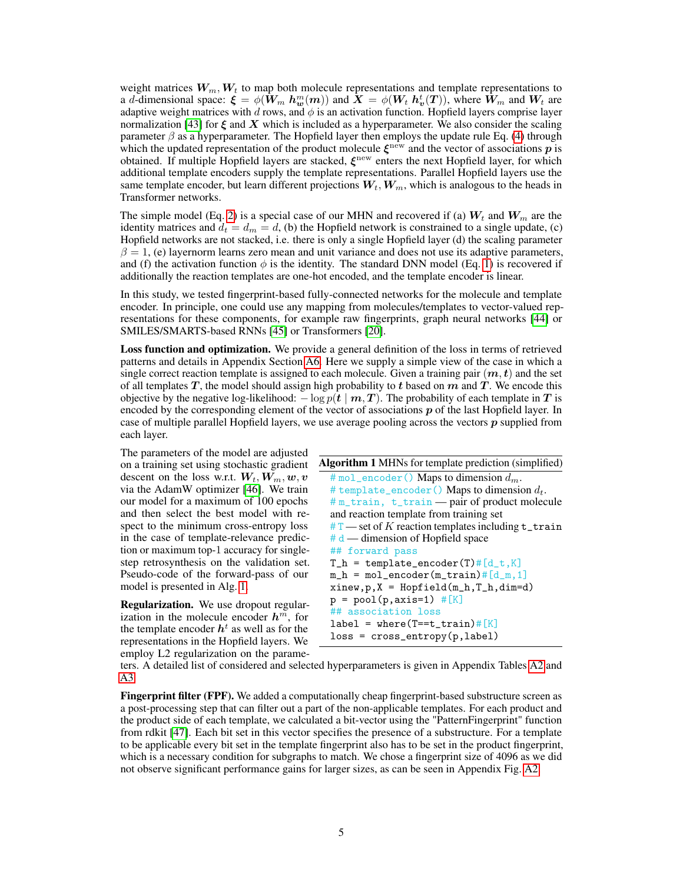weight matrices  $W_m, W_t$  to map both molecule representations and template representations to a d-dimensional space:  $\xi = \phi(\hat{W}_m h_w^m(m))$  and  $X = \phi(W_t h_v^t(T))$ , where  $\hat{W}_m$  and  $W_t$  are adaptive weight matrices with d rows, and  $\phi$  is an activation function. Hopfield layers comprise layer normalization [\[43\]](#page-11-13) for  $\xi$  and  $X$  which is included as a hyperparameter. We also consider the scaling parameter  $\beta$  as a hyperparameter. The Hopfield layer then employs the update rule Eq. [\(4\)](#page-3-3) through which the updated representation of the product molecule  $\xi^{\text{new}}$  and the vector of associations p is obtained. If multiple Hopfield layers are stacked,  $\xi^{\text{new}}$  enters the next Hopfield layer, for which additional template encoders supply the template representations. Parallel Hopfield layers use the same template encoder, but learn different projections  $W_t, W_m$ , which is analogous to the heads in Transformer networks.

The simple model (Eq. [2\)](#page-3-1) is a special case of our MHN and recovered if (a)  $W_t$  and  $W_m$  are the identity matrices and  $d_t = d_m = d$ , (b) the Hopfield network is constrained to a single update, (c) Hopfield networks are not stacked, i.e. there is only a single Hopfield layer (d) the scaling parameter  $\beta = 1$ , (e) layernorm learns zero mean and unit variance and does not use its adaptive parameters, and (f) the activation function  $\phi$  is the identity. The standard DNN model (Eq. [1\)](#page-3-4) is recovered if additionally the reaction templates are one-hot encoded, and the template encoder is linear.

In this study, we tested fingerprint-based fully-connected networks for the molecule and template encoder. In principle, one could use any mapping from molecules/templates to vector-valued representations for these components, for example raw fingerprints, graph neural networks [\[44\]](#page-12-0) or SMILES/SMARTS-based RNNs [\[45\]](#page-12-1) or Transformers [\[20\]](#page-10-6).

Loss function and optimization. We provide a general definition of the loss in terms of retrieved patterns and details in Appendix Section [A6.](#page-24-0) Here we supply a simple view of the case in which a single correct reaction template is assigned to each molecule. Given a training pair  $(m, t)$  and the set of all templates  $T$ , the model should assign high probability to t based on  $m$  and  $T$ . We encode this objective by the negative log-likelihood:  $-\log p(t | m, T)$ . The probability of each template in T is encoded by the corresponding element of the vector of associations  $p$  of the last Hopfield layer. In case of multiple parallel Hopfield layers, we use average pooling across the vectors  $p$  supplied from each layer.

The parameters of the model are adjusted on a training set using stochastic gradient descent on the loss w.r.t.  $W_t, W_m, w, v$ via the AdamW optimizer [\[46\]](#page-12-2). We train our model for a maximum of 100 epochs and then select the best model with respect to the minimum cross-entropy loss in the case of template-relevance prediction or maximum top-1 accuracy for singlestep retrosynthesis on the validation set. Pseudo-code of the forward-pass of our model is presented in Alg. [1.](#page-4-0)

Regularization. We use dropout regularization in the molecule encoder  $h^m$ , for the template encoder  $h^t$  as well as for the representations in the Hopfield layers. We employ L2 regularization on the parame-

<span id="page-4-0"></span>

| Algorithm 1 MHNs for template prediction (simplified)   |
|---------------------------------------------------------|
| # mol_encoder () Maps to dimension $d_m$ .              |
| # template_encoder() Maps to dimension $d_t$ .          |
| #m_train, t_train — pair of product molecule            |
| and reaction template from training set                 |
| $#T$ — set of K reaction templates including $t$ _train |
| $# d$ — dimension of Hopfield space                     |
| ## forward pass                                         |
| $T_h$ = template_encoder(T)# $[d_t, K]$                 |
| $m_h = mol_{encoder}(m_{train}) \# [d_m, 1]$            |
| $xinew, p, X = Hopfield(m_h, T_h, dim=d)$               |
| $p = pool(p, axis=1) # [K]$                             |
| ## association loss                                     |
| $label = where(T=ztrain)$ #[K]                          |
| $loss = cross_entropy(p, label)$                        |
|                                                         |

ters. A detailed list of considered and selected hyperparameters is given in Appendix Tables [A2](#page-7-0) and [A3.](#page-20-0)

Fingerprint filter (FPF). We added a computationally cheap fingerprint-based substructure screen as a post-processing step that can filter out a part of the non-applicable templates. For each product and the product side of each template, we calculated a bit-vector using the "PatternFingerprint" function from rdkit [\[47\]](#page-12-3). Each bit set in this vector specifies the presence of a substructure. For a template to be applicable every bit set in the template fingerprint also has to be set in the product fingerprint, which is a necessary condition for subgraphs to match. We chose a fingerprint size of 4096 as we did not observe significant performance gains for larger sizes, as can be seen in Appendix Fig. [A2.](#page-1-0)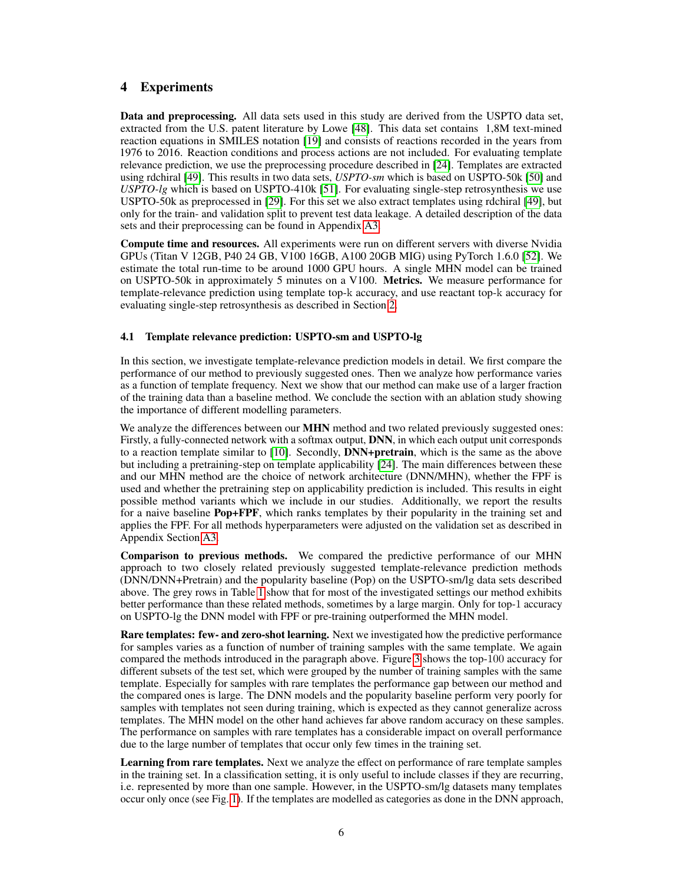## <span id="page-5-0"></span>4 Experiments

Data and preprocessing. All data sets used in this study are derived from the USPTO data set, extracted from the U.S. patent literature by Lowe [\[48\]](#page-12-4). This data set contains 1,8M text-mined reaction equations in SMILES notation [\[19\]](#page-10-5) and consists of reactions recorded in the years from 1976 to 2016. Reaction conditions and process actions are not included. For evaluating template relevance prediction, we use the preprocessing procedure described in [\[24\]](#page-10-10). Templates are extracted using rdchiral [\[49\]](#page-12-5). This results in two data sets, *USPTO-sm* which is based on USPTO-50k [\[50\]](#page-12-6) and *USPTO-lg* which is based on USPTO-410k [\[51\]](#page-12-7). For evaluating single-step retrosynthesis we use USPTO-50k as preprocessed in [\[29\]](#page-11-14). For this set we also extract templates using rdchiral [\[49\]](#page-12-5), but only for the train- and validation split to prevent test data leakage. A detailed description of the data sets and their preprocessing can be found in Appendix [A3.](#page-16-0)

Compute time and resources. All experiments were run on different servers with diverse Nvidia GPUs (Titan V 12GB, P40 24 GB, V100 16GB, A100 20GB MIG) using PyTorch 1.6.0 [\[52\]](#page-12-8). We estimate the total run-time to be around 1000 GPU hours. A single MHN model can be trained on USPTO-50k in approximately 5 minutes on a V100. Metrics. We measure performance for template-relevance prediction using template top-k accuracy, and use reactant top-k accuracy for evaluating single-step retrosynthesis as described in Section [2.](#page-2-0)

#### <span id="page-5-1"></span>4.1 Template relevance prediction: USPTO-sm and USPTO-lg

In this section, we investigate template-relevance prediction models in detail. We first compare the performance of our method to previously suggested ones. Then we analyze how performance varies as a function of template frequency. Next we show that our method can make use of a larger fraction of the training data than a baseline method. We conclude the section with an ablation study showing the importance of different modelling parameters.

We analyze the differences between our **MHN** method and two related previously suggested ones: Firstly, a fully-connected network with a softmax output, DNN, in which each output unit corresponds to a reaction template similar to [\[10\]](#page-10-1). Secondly, **DNN+pretrain**, which is the same as the above but including a pretraining-step on template applicability [\[24\]](#page-10-10). The main differences between these and our MHN method are the choice of network architecture (DNN/MHN), whether the FPF is used and whether the pretraining step on applicability prediction is included. This results in eight possible method variants which we include in our studies. Additionally, we report the results for a naive baseline Pop+FPF, which ranks templates by their popularity in the training set and applies the FPF. For all methods hyperparameters were adjusted on the validation set as described in Appendix Section [A3.](#page-16-0)

Comparison to previous methods. We compared the predictive performance of our MHN approach to two closely related previously suggested template-relevance prediction methods (DNN/DNN+Pretrain) and the popularity baseline (Pop) on the USPTO-sm/lg data sets described above. The grey rows in Table [1](#page-6-0) show that for most of the investigated settings our method exhibits better performance than these related methods, sometimes by a large margin. Only for top-1 accuracy on USPTO-lg the DNN model with FPF or pre-training outperformed the MHN model.

**Rare templates: few- and zero-shot learning.** Next we investigated how the predictive performance for samples varies as a function of number of training samples with the same template. We again compared the methods introduced in the paragraph above. Figure [3](#page-6-1) shows the top-100 accuracy for different subsets of the test set, which were grouped by the number of training samples with the same template. Especially for samples with rare templates the performance gap between our method and the compared ones is large. The DNN models and the popularity baseline perform very poorly for samples with templates not seen during training, which is expected as they cannot generalize across templates. The MHN model on the other hand achieves far above random accuracy on these samples. The performance on samples with rare templates has a considerable impact on overall performance due to the large number of templates that occur only few times in the training set.

Learning from rare templates. Next we analyze the effect on performance of rare template samples in the training set. In a classification setting, it is only useful to include classes if they are recurring, i.e. represented by more than one sample. However, in the USPTO-sm/lg datasets many templates occur only once (see Fig. [1\)](#page-0-0). If the templates are modelled as categories as done in the DNN approach,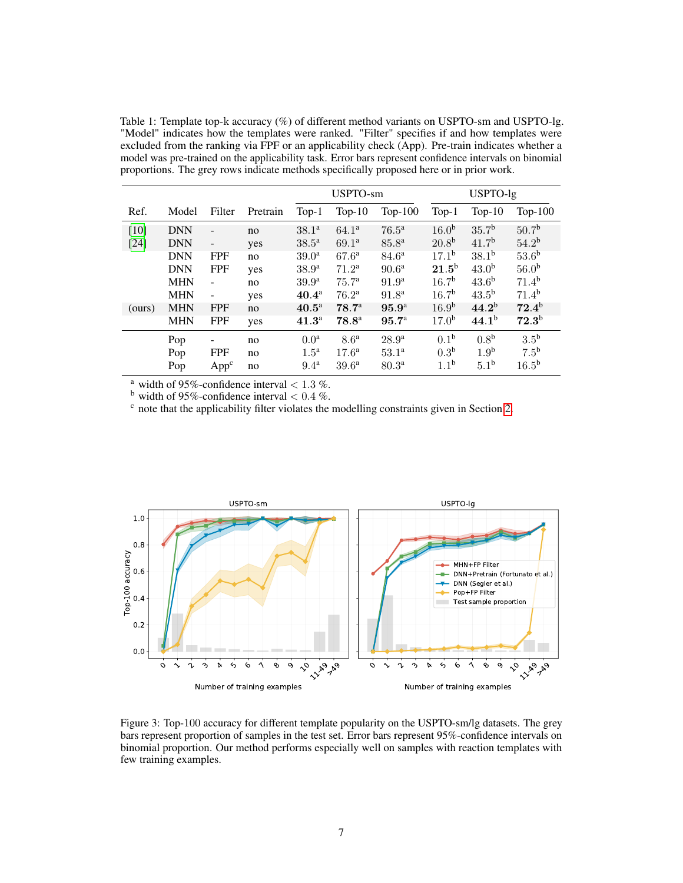<span id="page-6-0"></span>Table 1: Template top-k accuracy (%) of different method variants on USPTO-sm and USPTO-lg. "Model" indicates how the templates were ranked. "Filter" specifies if and how templates were excluded from the ranking via FPF or an applicability check (App). Pre-train indicates whether a model was pre-trained on the applicability task. Error bars represent confidence intervals on binomial proportions. The grey rows indicate methods specifically proposed here or in prior work.

|        |            |                  |          | USPTO-sm            |                   | USPTO-lg          |                   |                   |                   |
|--------|------------|------------------|----------|---------------------|-------------------|-------------------|-------------------|-------------------|-------------------|
| Ref.   | Model      | Filter           | Pretrain | $Top-1$             | $Top-10$          | Top- $100$        | $Top-1$           | Top- $10$         | $Top-100$         |
| $[10]$ | <b>DNN</b> |                  | no       | $38.1^{\circ}$      | $64.1^a$          | $76.5^{\rm a}$    | 16.0 <sup>b</sup> | 35.7 <sup>b</sup> | 50.7 <sup>b</sup> |
| [24]   | <b>DNN</b> |                  | yes      | $38.5^{\rm a}$      | $69.1^a$          | $85.8^{a}$        | $20.8^{b}$        | 41.7 <sup>b</sup> | 54.2 <sup>b</sup> |
|        | <b>DNN</b> | <b>FPF</b>       | no       | 39.0 <sup>a</sup>   | $67.6^{\rm a}$    | $84.6^{\rm a}$    | $17.1^{\rm b}$    | $38.1^{b}$        | 53.6 <sup>b</sup> |
|        | <b>DNN</b> | <b>FPF</b>       | yes      | 38.9 <sup>a</sup>   | 71.2 <sup>a</sup> | 90.6 <sup>a</sup> | $21.5^{\rm b}$    | 43.0 <sup>b</sup> | 56.0 <sup>b</sup> |
|        | <b>MHN</b> |                  | no       | 39.9 <sup>a</sup>   | 75.7 <sup>a</sup> | 91.9 <sup>a</sup> | 16.7 <sup>b</sup> | 43.6 <sup>b</sup> | $71.4^{b}$        |
|        | <b>MHN</b> |                  | yes      | $40.4^{\rm a}$      | 76.2 <sup>a</sup> | 91.8 <sup>a</sup> | 16.7 <sup>b</sup> | 43.5 <sup>b</sup> | 71.4 <sup>b</sup> |
| (ours) | <b>MHN</b> | <b>FPF</b>       | no       | $40.5^{\mathrm{a}}$ | 78.7 <sup>a</sup> | 95.9 <sup>a</sup> | 16.9 <sup>b</sup> | 44.2 <sup>b</sup> | $72.4^{b}$        |
|        | <b>MHN</b> | <b>FPF</b>       | yes      | $41.3^{\circ}$      | $78.8^{\circ}$    | 95.7 <sup>a</sup> | 17.0 <sup>b</sup> | $44.1^{b}$        | $72.3^{b}$        |
|        | Pop        |                  | no       | 0.0 <sup>a</sup>    | 8.6 <sup>a</sup>  | 28.9 <sup>a</sup> | 0.1 <sup>b</sup>  | 0.8 <sup>b</sup>  | 3.5 <sup>b</sup>  |
|        | Pop        | <b>FPF</b>       | no       | 1.5 <sup>a</sup>    | $17.6^{\rm a}$    | 53.1 <sup>a</sup> | 0.3 <sup>b</sup>  | 1.9 <sup>b</sup>  | 7.5 <sup>b</sup>  |
|        | Pop        | App <sup>c</sup> | no       | 9.4 <sup>a</sup>    | $39.6^{\rm a}$    | 80.3 <sup>a</sup> | 1.1 <sup>b</sup>  | 5.1 <sup>b</sup>  | 16.5 <sup>b</sup> |

<sup>a</sup> width of 95%-confidence interval  $< 1.3$ %.

<sup>b</sup> width of 95%-confidence interval  $< 0.4$  %.

 $\epsilon$  note that the applicability filter violates the modelling constraints given in Section [2.](#page-2-0)



<span id="page-6-1"></span>Figure 3: Top-100 accuracy for different template popularity on the USPTO-sm/lg datasets. The grey bars represent proportion of samples in the test set. Error bars represent 95%-confidence intervals on binomial proportion. Our method performs especially well on samples with reaction templates with few training examples.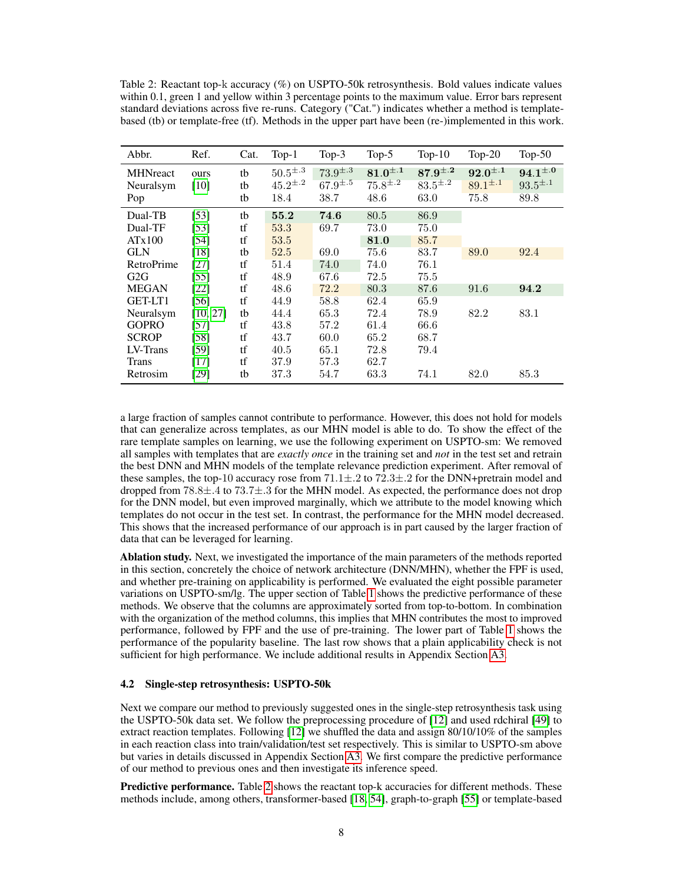<span id="page-7-0"></span>Table 2: Reactant top-k accuracy (%) on USPTO-50k retrosynthesis. Bold values indicate values within 0.1, green 1 and yellow within 3 percentage points to the maximum value. Error bars represent standard deviations across five re-runs. Category ("Cat.") indicates whether a method is templatebased (tb) or template-free (tf). Methods in the upper part have been (re-)implemented in this work.

| Abbr.                                    | Ref.                   | Cat.           | $Top-1$                                  | Top- $3$                                 | Top- $5$                                 | $Top-10$                                 | $Top-20$                                 | Top- $50$                                |
|------------------------------------------|------------------------|----------------|------------------------------------------|------------------------------------------|------------------------------------------|------------------------------------------|------------------------------------------|------------------------------------------|
| <b>MHNreact</b><br>Neuralsym<br>Pop      | ours<br>[10]           | tb<br>tb<br>tb | $50.5^{\pm.3}$<br>$45.2^{\pm.2}$<br>18.4 | $73.9^{\pm.3}$<br>$67.9^{\pm.5}$<br>38.7 | $81.0^{\pm.1}$<br>$75.8^{\pm.2}$<br>48.6 | $87.9^{\pm.2}$<br>$83.5^{\pm.2}$<br>63.0 | $92.0^{\pm.1}$<br>$89.1^{\pm.1}$<br>75.8 | $94.1^{\pm.0}$<br>$93.5^{\pm.1}$<br>89.8 |
| Dual-TB<br>Dual-TF<br>ATx100             | [53]<br>$[53]$<br>[54] | tb<br>tf<br>tf | 55.2<br>53.3<br>53.5                     | 74.6<br>69.7                             | 80.5<br>73.0<br>81.0                     | 86.9<br>75.0<br>85.7                     |                                          |                                          |
| <b>GLN</b><br>RetroPrime                 | $[18]$<br>$[27]$       | tb<br>tf       | 52.5<br>51.4                             | 69.0<br>74.0                             | 75.6<br>74.0                             | 83.7<br>76.1                             | 89.0                                     | 92.4                                     |
| G2G<br><b>MEGAN</b>                      | $[55]$<br>[22]         | tf<br>tf       | 48.9<br>48.6                             | 67.6<br>72.2                             | 72.5<br>80.3                             | 75.5<br>87.6                             | 91.6                                     | 94.2                                     |
| GET-LT1<br>Neuralsym                     | $[56]$<br>[10, 27]     | tf<br>tb       | 44.9<br>44.4                             | 58.8<br>65.3                             | 62.4<br>72.4                             | 65.9<br>78.9                             | 82.2                                     | 83.1                                     |
| <b>GOPRO</b><br><b>SCROP</b><br>LV-Trans | $[57]$<br>[58]<br>[59] | tf<br>tf<br>tf | 43.8<br>43.7<br>40.5                     | 57.2<br>60.0<br>65.1                     | 61.4<br>65.2<br>72.8                     | 66.6<br>68.7<br>79.4                     |                                          |                                          |
| <b>Trans</b><br>Retrosim                 | $[17]$<br>$[29]$       | tf<br>tb       | 37.9<br>37.3                             | 57.3<br>54.7                             | 62.7<br>63.3                             | 74.1                                     | 82.0                                     | 85.3                                     |

a large fraction of samples cannot contribute to performance. However, this does not hold for models that can generalize across templates, as our MHN model is able to do. To show the effect of the rare template samples on learning, we use the following experiment on USPTO-sm: We removed all samples with templates that are *exactly once* in the training set and *not* in the test set and retrain the best DNN and MHN models of the template relevance prediction experiment. After removal of these samples, the top-10 accuracy rose from  $71.1 \pm .2$  to  $72.3 \pm .2$  for the DNN+pretrain model and dropped from 78.8±.4 to 73.7±.3 for the MHN model. As expected, the performance does not drop for the DNN model, but even improved marginally, which we attribute to the model knowing which templates do not occur in the test set. In contrast, the performance for the MHN model decreased. This shows that the increased performance of our approach is in part caused by the larger fraction of data that can be leveraged for learning.

Ablation study. Next, we investigated the importance of the main parameters of the methods reported in this section, concretely the choice of network architecture (DNN/MHN), whether the FPF is used, and whether pre-training on applicability is performed. We evaluated the eight possible parameter variations on USPTO-sm/lg. The upper section of Table [1](#page-6-0) shows the predictive performance of these methods. We observe that the columns are approximately sorted from top-to-bottom. In combination with the organization of the method columns, this implies that MHN contributes the most to improved performance, followed by FPF and the use of pre-training. The lower part of Table [1](#page-6-0) shows the performance of the popularity baseline. The last row shows that a plain applicability check is not sufficient for high performance. We include additional results in Appendix Section [A3.](#page-16-0)

#### <span id="page-7-1"></span>4.2 Single-step retrosynthesis: USPTO-50k

Next we compare our method to previously suggested ones in the single-step retrosynthesis task using the USPTO-50k data set. We follow the preprocessing procedure of [\[12\]](#page-10-13) and used rdchiral [\[49\]](#page-12-5) to extract reaction templates. Following [\[12\]](#page-10-13) we shuffled the data and assign 80/10/10% of the samples in each reaction class into train/validation/test set respectively. This is similar to USPTO-sm above but varies in details discussed in Appendix Section [A3.](#page-16-0) We first compare the predictive performance of our method to previous ones and then investigate its inference speed.

Predictive performance. Table [2](#page-7-0) shows the reactant top-k accuracies for different methods. These methods include, among others, transformer-based [\[18,](#page-10-4) [54\]](#page-12-10), graph-to-graph [\[55\]](#page-12-11) or template-based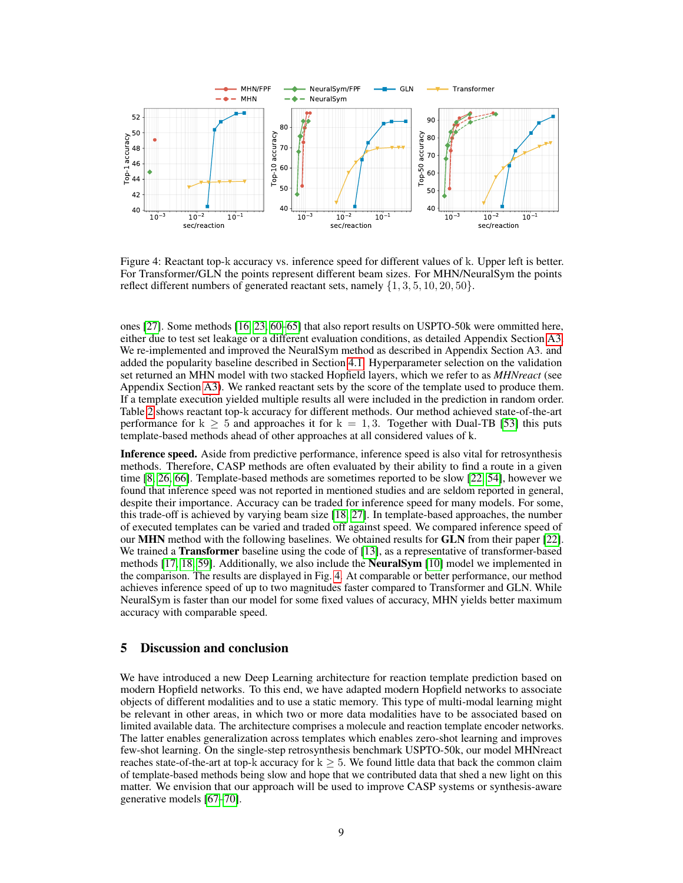

<span id="page-8-0"></span>Figure 4: Reactant top-k accuracy vs. inference speed for different values of k. Upper left is better. For Transformer/GLN the points represent different beam sizes. For MHN/NeuralSym the points reflect different numbers of generated reactant sets, namely  $\{1, 3, 5, 10, 20, 50\}$ .

ones [\[27\]](#page-11-7). Some methods [\[16,](#page-10-14) [23,](#page-10-9) [60](#page-12-16)[–65\]](#page-13-0) that also report results on USPTO-50k were ommitted here, either due to test set leakage or a different evaluation conditions, as detailed Appendix Section [A3.](#page-16-0) We re-implemented and improved the NeuralSym method as described in Appendix Section A3. and added the popularity baseline described in Section [4.1.](#page-5-1) Hyperparameter selection on the validation set returned an MHN model with two stacked Hopfield layers, which we refer to as *MHNreact* (see Appendix Section [A3\)](#page-16-0). We ranked reactant sets by the score of the template used to produce them. If a template execution yielded multiple results all were included in the prediction in random order. Table [2](#page-7-0) shows reactant top-k accuracy for different methods. Our method achieved state-of-the-art performance for  $k \geq 5$  and approaches it for  $k = 1, 3$ . Together with Dual-TB [\[53\]](#page-12-9) this puts template-based methods ahead of other approaches at all considered values of k.

Inference speed. Aside from predictive performance, inference speed is also vital for retrosynthesis methods. Therefore, CASP methods are often evaluated by their ability to find a route in a given time [\[8,](#page-10-0) [26,](#page-11-5) [66\]](#page-13-1). Template-based methods are sometimes reported to be slow [\[22,](#page-10-8) [54\]](#page-12-10), however we found that inference speed was not reported in mentioned studies and are seldom reported in general, despite their importance. Accuracy can be traded for inference speed for many models. For some, this trade-off is achieved by varying beam size [\[18,](#page-10-4) [27\]](#page-11-7). In template-based approaches, the number of executed templates can be varied and traded off against speed. We compared inference speed of our MHN method with the following baselines. We obtained results for GLN from their paper [\[22\]](#page-10-8). We trained a **Transformer** baseline using the code of [\[13\]](#page-10-3), as a representative of transformer-based methods [\[17,](#page-10-12) [18,](#page-10-4) [59\]](#page-12-15). Additionally, we also include the **NeuralSym** [\[10\]](#page-10-1) model we implemented in the comparison. The results are displayed in Fig. [4.](#page-8-0) At comparable or better performance, our method achieves inference speed of up to two magnitudes faster compared to Transformer and GLN. While NeuralSym is faster than our model for some fixed values of accuracy, MHN yields better maximum accuracy with comparable speed.

#### <span id="page-8-1"></span>5 Discussion and conclusion

We have introduced a new Deep Learning architecture for reaction template prediction based on modern Hopfield networks. To this end, we have adapted modern Hopfield networks to associate objects of different modalities and to use a static memory. This type of multi-modal learning might be relevant in other areas, in which two or more data modalities have to be associated based on limited available data. The architecture comprises a molecule and reaction template encoder networks. The latter enables generalization across templates which enables zero-shot learning and improves few-shot learning. On the single-step retrosynthesis benchmark USPTO-50k, our model MHNreact reaches state-of-the-art at top-k accuracy for  $k > 5$ . We found little data that back the common claim of template-based methods being slow and hope that we contributed data that shed a new light on this matter. We envision that our approach will be used to improve CASP systems or synthesis-aware generative models [\[67](#page-13-2)[–70\]](#page-13-3).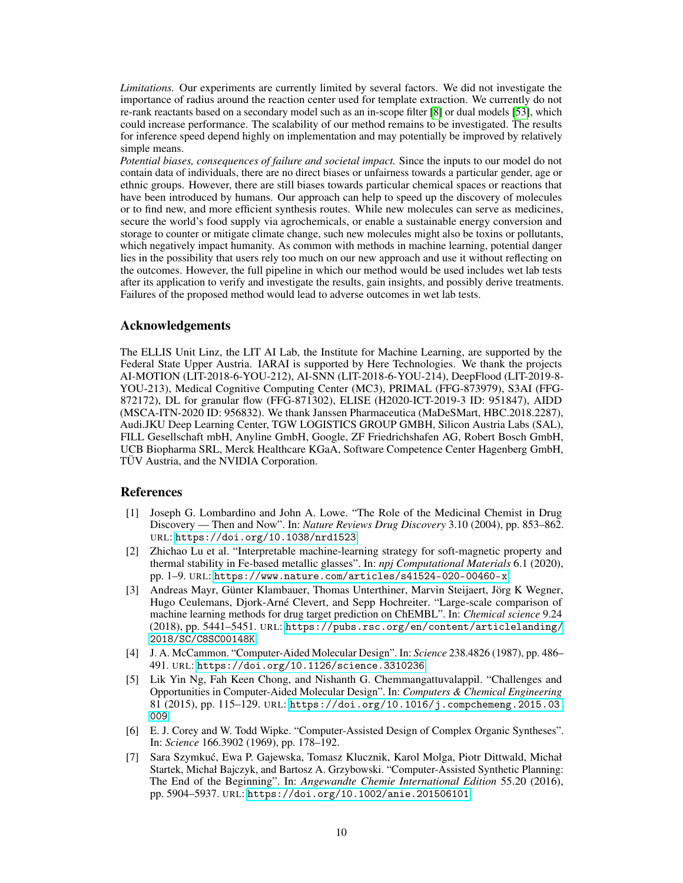*Limitations.* Our experiments are currently limited by several factors. We did not investigate the importance of radius around the reaction center used for template extraction. We currently do not re-rank reactants based on a secondary model such as an in-scope filter [\[8\]](#page-10-0) or dual models [\[53\]](#page-12-9), which could increase performance. The scalability of our method remains to be investigated. The results for inference speed depend highly on implementation and may potentially be improved by relatively simple means.

*Potential biases, consequences of failure and societal impact.* Since the inputs to our model do not contain data of individuals, there are no direct biases or unfairness towards a particular gender, age or ethnic groups. However, there are still biases towards particular chemical spaces or reactions that have been introduced by humans. Our approach can help to speed up the discovery of molecules or to find new, and more efficient synthesis routes. While new molecules can serve as medicines, secure the world's food supply via agrochemicals, or enable a sustainable energy conversion and storage to counter or mitigate climate change, such new molecules might also be toxins or pollutants, which negatively impact humanity. As common with methods in machine learning, potential danger lies in the possibility that users rely too much on our new approach and use it without reflecting on the outcomes. However, the full pipeline in which our method would be used includes wet lab tests after its application to verify and investigate the results, gain insights, and possibly derive treatments. Failures of the proposed method would lead to adverse outcomes in wet lab tests.

#### Acknowledgements

The ELLIS Unit Linz, the LIT AI Lab, the Institute for Machine Learning, are supported by the Federal State Upper Austria. IARAI is supported by Here Technologies. We thank the projects AI-MOTION (LIT-2018-6-YOU-212), AI-SNN (LIT-2018-6-YOU-214), DeepFlood (LIT-2019-8- YOU-213), Medical Cognitive Computing Center (MC3), PRIMAL (FFG-873979), S3AI (FFG-872172), DL for granular flow (FFG-871302), ELISE (H2020-ICT-2019-3 ID: 951847), AIDD (MSCA-ITN-2020 ID: 956832). We thank Janssen Pharmaceutica (MaDeSMart, HBC.2018.2287), Audi.JKU Deep Learning Center, TGW LOGISTICS GROUP GMBH, Silicon Austria Labs (SAL), FILL Gesellschaft mbH, Anyline GmbH, Google, ZF Friedrichshafen AG, Robert Bosch GmbH, UCB Biopharma SRL, Merck Healthcare KGaA, Software Competence Center Hagenberg GmbH, TÜV Austria, and the NVIDIA Corporation.

### References

- <span id="page-9-0"></span>[1] Joseph G. Lombardino and John A. Lowe. "The Role of the Medicinal Chemist in Drug Discovery — Then and Now". In: *Nature Reviews Drug Discovery* 3.10 (2004), pp. 853–862. URL: <https://doi.org/10.1038/nrd1523>.
- <span id="page-9-1"></span>[2] Zhichao Lu et al. "Interpretable machine-learning strategy for soft-magnetic property and thermal stability in Fe-based metallic glasses". In: *npj Computational Materials* 6.1 (2020), pp. 1–9. URL: <https://www.nature.com/articles/s41524-020-00460-x>.
- <span id="page-9-2"></span>[3] Andreas Mayr, Günter Klambauer, Thomas Unterthiner, Marvin Steijaert, Jörg K Wegner, Hugo Ceulemans, Djork-Arné Clevert, and Sepp Hochreiter. "Large-scale comparison of machine learning methods for drug target prediction on ChEMBL". In: *Chemical science* 9.24 (2018), pp. 5441–5451. URL: [https://pubs.rsc.org/en/content/articlelanding/](https://pubs.rsc.org/en/content/articlelanding/2018/SC/C8SC00148K) [2018/SC/C8SC00148K](https://pubs.rsc.org/en/content/articlelanding/2018/SC/C8SC00148K).
- <span id="page-9-3"></span>[4] J. A. McCammon. "Computer-Aided Molecular Design". In: *Science* 238.4826 (1987), pp. 486– 491. URL: <https://doi.org/10.1126/science.3310236>.
- <span id="page-9-4"></span>[5] Lik Yin Ng, Fah Keen Chong, and Nishanth G. Chemmangattuvalappil. "Challenges and Opportunities in Computer-Aided Molecular Design". In: *Computers & Chemical Engineering* 81 (2015), pp. 115–129. URL: [https://doi.org/10.1016/j.compchemeng.2015.03.](https://doi.org/10.1016/j.compchemeng.2015.03.009) [009](https://doi.org/10.1016/j.compchemeng.2015.03.009).
- <span id="page-9-5"></span>[6] E. J. Corey and W. Todd Wipke. "Computer-Assisted Design of Complex Organic Syntheses". In: *Science* 166.3902 (1969), pp. 178–192.
- <span id="page-9-6"></span>[7] Sara Szymkuć, Ewa P. Gajewska, Tomasz Klucznik, Karol Molga, Piotr Dittwald, Michał Startek, Michał Bajczyk, and Bartosz A. Grzybowski. "Computer-Assisted Synthetic Planning: The End of the Beginning". In: *Angewandte Chemie International Edition* 55.20 (2016), pp. 5904–5937. URL: <https://doi.org/10.1002/anie.201506101>.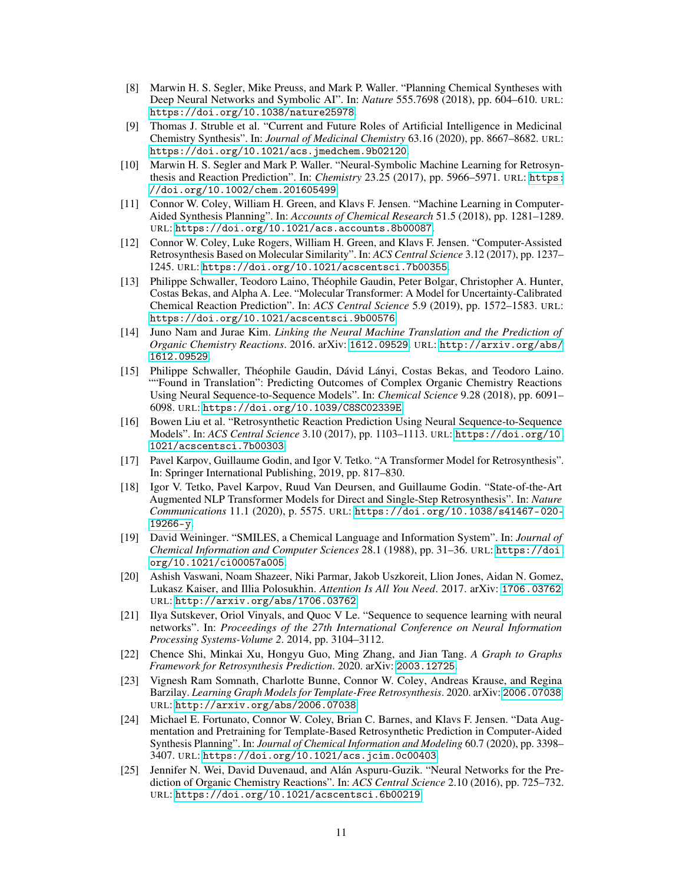- <span id="page-10-0"></span>[8] Marwin H. S. Segler, Mike Preuss, and Mark P. Waller. "Planning Chemical Syntheses with Deep Neural Networks and Symbolic AI". In: *Nature* 555.7698 (2018), pp. 604–610. URL: <https://doi.org/10.1038/nature25978>.
- <span id="page-10-11"></span>[9] Thomas J. Struble et al. "Current and Future Roles of Artificial Intelligence in Medicinal Chemistry Synthesis". In: *Journal of Medicinal Chemistry* 63.16 (2020), pp. 8667–8682. URL: <https://doi.org/10.1021/acs.jmedchem.9b02120>.
- <span id="page-10-1"></span>[10] Marwin H. S. Segler and Mark P. Waller. "Neural-Symbolic Machine Learning for Retrosynthesis and Reaction Prediction". In: *Chemistry* 23.25 (2017), pp. 5966–5971. URL: [https:](https://doi.org/10.1002/chem.201605499) [//doi.org/10.1002/chem.201605499](https://doi.org/10.1002/chem.201605499).
- <span id="page-10-2"></span>[11] Connor W. Coley, William H. Green, and Klavs F. Jensen. "Machine Learning in Computer-Aided Synthesis Planning". In: *Accounts of Chemical Research* 51.5 (2018), pp. 1281–1289. URL: <https://doi.org/10.1021/acs.accounts.8b00087>.
- <span id="page-10-13"></span>[12] Connor W. Coley, Luke Rogers, William H. Green, and Klavs F. Jensen. "Computer-Assisted Retrosynthesis Based on Molecular Similarity". In: *ACS Central Science* 3.12 (2017), pp. 1237– 1245. URL: <https://doi.org/10.1021/acscentsci.7b00355>.
- <span id="page-10-3"></span>[13] Philippe Schwaller, Teodoro Laino, Théophile Gaudin, Peter Bolgar, Christopher A. Hunter, Costas Bekas, and Alpha A. Lee. "Molecular Transformer: A Model for Uncertainty-Calibrated Chemical Reaction Prediction". In: *ACS Central Science* 5.9 (2019), pp. 1572–1583. URL: <https://doi.org/10.1021/acscentsci.9b00576>.
- [14] Juno Nam and Jurae Kim. *Linking the Neural Machine Translation and the Prediction of Organic Chemistry Reactions*. 2016. arXiv: [1612.09529](https://arxiv.org/abs/1612.09529). URL: [http://arxiv.org/abs/](http://arxiv.org/abs/1612.09529) [1612.09529](http://arxiv.org/abs/1612.09529).
- [15] Philippe Schwaller, Théophile Gaudin, Dávid Lányi, Costas Bekas, and Teodoro Laino. ""Found in Translation": Predicting Outcomes of Complex Organic Chemistry Reactions Using Neural Sequence-to-Sequence Models". In: *Chemical Science* 9.28 (2018), pp. 6091– 6098. URL: <https://doi.org/10.1039/C8SC02339E>.
- <span id="page-10-14"></span>[16] Bowen Liu et al. "Retrosynthetic Reaction Prediction Using Neural Sequence-to-Sequence Models". In: *ACS Central Science* 3.10 (2017), pp. 1103–1113. URL: [https://doi.org/10.](https://doi.org/10.1021/acscentsci.7b00303) [1021/acscentsci.7b00303](https://doi.org/10.1021/acscentsci.7b00303).
- <span id="page-10-12"></span>[17] Pavel Karpov, Guillaume Godin, and Igor V. Tetko. "A Transformer Model for Retrosynthesis". In: Springer International Publishing, 2019, pp. 817–830.
- <span id="page-10-4"></span>[18] Igor V. Tetko, Pavel Karpov, Ruud Van Deursen, and Guillaume Godin. "State-of-the-Art Augmented NLP Transformer Models for Direct and Single-Step Retrosynthesis". In: *Nature Communications* 11.1 (2020), p. 5575. URL: [https://doi.org/10.1038/s41467-020-](https://doi.org/10.1038/s41467-020-19266-y) [19266-y](https://doi.org/10.1038/s41467-020-19266-y).
- <span id="page-10-5"></span>[19] David Weininger. "SMILES, a Chemical Language and Information System". In: *Journal of Chemical Information and Computer Sciences* 28.1 (1988), pp. 31–36. URL: [https://doi.](https://doi.org/10.1021/ci00057a005) [org/10.1021/ci00057a005](https://doi.org/10.1021/ci00057a005).
- <span id="page-10-6"></span>[20] Ashish Vaswani, Noam Shazeer, Niki Parmar, Jakob Uszkoreit, Llion Jones, Aidan N. Gomez, Lukasz Kaiser, and Illia Polosukhin. *Attention Is All You Need*. 2017. arXiv: [1706.03762](https://arxiv.org/abs/1706.03762). URL: <http://arxiv.org/abs/1706.03762>.
- <span id="page-10-7"></span>[21] Ilya Sutskever, Oriol Vinyals, and Quoc V Le. "Sequence to sequence learning with neural networks". In: *Proceedings of the 27th International Conference on Neural Information Processing Systems-Volume 2*. 2014, pp. 3104–3112.
- <span id="page-10-8"></span>[22] Chence Shi, Minkai Xu, Hongyu Guo, Ming Zhang, and Jian Tang. *A Graph to Graphs Framework for Retrosynthesis Prediction*. 2020. arXiv: [2003.12725](https://arxiv.org/abs/2003.12725).
- <span id="page-10-9"></span>[23] Vignesh Ram Somnath, Charlotte Bunne, Connor W. Coley, Andreas Krause, and Regina Barzilay. *Learning Graph Models for Template-Free Retrosynthesis*. 2020. arXiv: [2006.07038](https://arxiv.org/abs/2006.07038). URL: <http://arxiv.org/abs/2006.07038>.
- <span id="page-10-10"></span>[24] Michael E. Fortunato, Connor W. Coley, Brian C. Barnes, and Klavs F. Jensen. "Data Augmentation and Pretraining for Template-Based Retrosynthetic Prediction in Computer-Aided Synthesis Planning". In: *Journal of Chemical Information and Modeling* 60.7 (2020), pp. 3398– 3407. URL: <https://doi.org/10.1021/acs.jcim.0c00403>.
- [25] Jennifer N. Wei, David Duvenaud, and Alán Aspuru-Guzik. "Neural Networks for the Prediction of Organic Chemistry Reactions". In: *ACS Central Science* 2.10 (2016), pp. 725–732. URL: <https://doi.org/10.1021/acscentsci.6b00219>.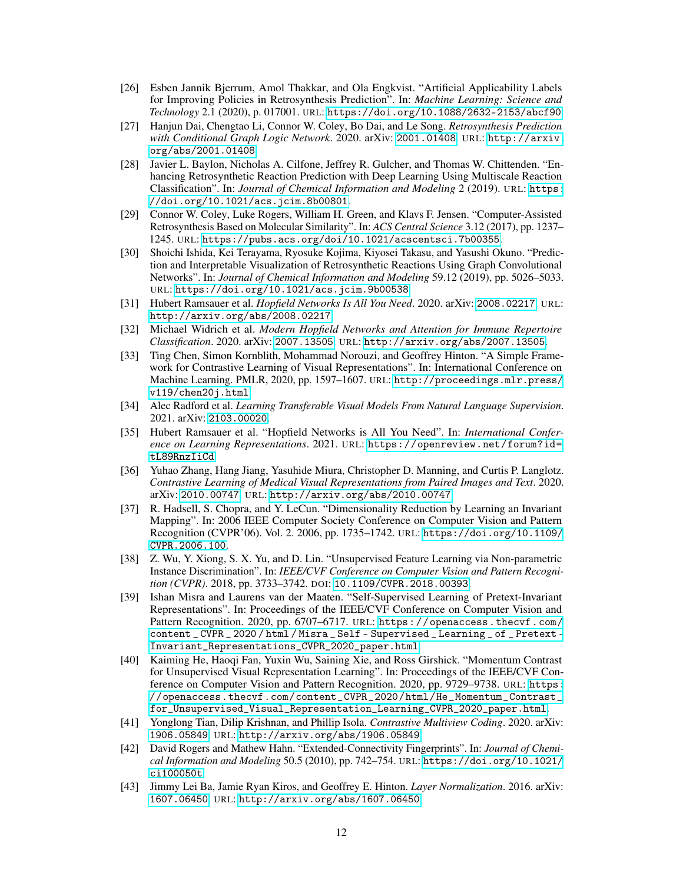- <span id="page-11-5"></span>[26] Esben Jannik Bjerrum, Amol Thakkar, and Ola Engkvist. "Artificial Applicability Labels for Improving Policies in Retrosynthesis Prediction". In: *Machine Learning: Science and Technology* 2.1 (2020), p. 017001. URL: <https://doi.org/10.1088/2632-2153/abcf90>.
- <span id="page-11-7"></span>[27] Hanjun Dai, Chengtao Li, Connor W. Coley, Bo Dai, and Le Song. *Retrosynthesis Prediction with Conditional Graph Logic Network*. 2020. arXiv: [2001.01408](https://arxiv.org/abs/2001.01408). URL: [http://arxiv.](http://arxiv.org/abs/2001.01408) [org/abs/2001.01408](http://arxiv.org/abs/2001.01408).
- <span id="page-11-15"></span>[28] Javier L. Baylon, Nicholas A. Cilfone, Jeffrey R. Gulcher, and Thomas W. Chittenden. "Enhancing Retrosynthetic Reaction Prediction with Deep Learning Using Multiscale Reaction Classification". In: *Journal of Chemical Information and Modeling* 2 (2019). URL: [https:](https://doi.org/10.1021/acs.jcim.8b00801) [//doi.org/10.1021/acs.jcim.8b00801](https://doi.org/10.1021/acs.jcim.8b00801).
- <span id="page-11-14"></span>[29] Connor W. Coley, Luke Rogers, William H. Green, and Klavs F. Jensen. "Computer-Assisted Retrosynthesis Based on Molecular Similarity". In: *ACS Central Science* 3.12 (2017), pp. 1237– 1245. URL: <https://pubs.acs.org/doi/10.1021/acscentsci.7b00355>.
- <span id="page-11-0"></span>[30] Shoichi Ishida, Kei Terayama, Ryosuke Kojima, Kiyosei Takasu, and Yasushi Okuno. "Prediction and Interpretable Visualization of Retrosynthetic Reactions Using Graph Convolutional Networks". In: *Journal of Chemical Information and Modeling* 59.12 (2019), pp. 5026–5033. URL: <https://doi.org/10.1021/acs.jcim.9b00538>.
- <span id="page-11-1"></span>[31] Hubert Ramsauer et al. *Hopfield Networks Is All You Need*. 2020. arXiv: [2008.02217](https://arxiv.org/abs/2008.02217). URL: <http://arxiv.org/abs/2008.02217>.
- <span id="page-11-2"></span>[32] Michael Widrich et al. *Modern Hopfield Networks and Attention for Immune Repertoire Classification*. 2020. arXiv: [2007.13505](https://arxiv.org/abs/2007.13505). URL: <http://arxiv.org/abs/2007.13505>.
- <span id="page-11-3"></span>[33] Ting Chen, Simon Kornblith, Mohammad Norouzi, and Geoffrey Hinton. "A Simple Framework for Contrastive Learning of Visual Representations". In: International Conference on Machine Learning. PMLR, 2020, pp. 1597–1607. URL: [http://proceedings.mlr.press/](http://proceedings.mlr.press/v119/chen20j.html) [v119/chen20j.html](http://proceedings.mlr.press/v119/chen20j.html).
- <span id="page-11-4"></span>[34] Alec Radford et al. *Learning Transferable Visual Models From Natural Language Supervision*. 2021. arXiv: [2103.00020](https://arxiv.org/abs/2103.00020).
- <span id="page-11-6"></span>[35] Hubert Ramsauer et al. "Hopfield Networks is All You Need". In: *International Conference on Learning Representations*. 2021. URL: [https://openreview.net/forum?id=](https://openreview.net/forum?id=tL89RnzIiCd) [tL89RnzIiCd](https://openreview.net/forum?id=tL89RnzIiCd).
- <span id="page-11-8"></span>[36] Yuhao Zhang, Hang Jiang, Yasuhide Miura, Christopher D. Manning, and Curtis P. Langlotz. *Contrastive Learning of Medical Visual Representations from Paired Images and Text*. 2020. arXiv: [2010.00747](https://arxiv.org/abs/2010.00747). URL: <http://arxiv.org/abs/2010.00747>.
- <span id="page-11-9"></span>[37] R. Hadsell, S. Chopra, and Y. LeCun. "Dimensionality Reduction by Learning an Invariant Mapping". In: 2006 IEEE Computer Society Conference on Computer Vision and Pattern Recognition (CVPR'06). Vol. 2. 2006, pp. 1735–1742. URL: [https://doi.org/10.1109/](https://doi.org/10.1109/CVPR.2006.100) [CVPR.2006.100](https://doi.org/10.1109/CVPR.2006.100).
- <span id="page-11-10"></span>[38] Z. Wu, Y. Xiong, S. X. Yu, and D. Lin. "Unsupervised Feature Learning via Non-parametric Instance Discrimination". In: *IEEE/CVF Conference on Computer Vision and Pattern Recognition (CVPR)*. 2018, pp. 3733–3742. DOI: [10.1109/CVPR.2018.00393](https://doi.org/10.1109/CVPR.2018.00393).
- [39] Ishan Misra and Laurens van der Maaten. "Self-Supervised Learning of Pretext-Invariant Representations". In: Proceedings of the IEEE/CVF Conference on Computer Vision and Pattern Recognition. 2020, pp. 6707-6717. URL: [https://openaccess.thecvf.com/](https://openaccess.thecvf.com/content_CVPR_2020/html/Misra_Self-Supervised_Learning_of_Pretext-Invariant_Representations_CVPR_2020_paper.html) [content \\_ CVPR \\_ 2020 / html / Misra \\_ Self - Supervised \\_ Learning \\_ of \\_ Pretext -](https://openaccess.thecvf.com/content_CVPR_2020/html/Misra_Self-Supervised_Learning_of_Pretext-Invariant_Representations_CVPR_2020_paper.html) [Invariant\\_Representations\\_CVPR\\_2020\\_paper.html](https://openaccess.thecvf.com/content_CVPR_2020/html/Misra_Self-Supervised_Learning_of_Pretext-Invariant_Representations_CVPR_2020_paper.html).
- [40] Kaiming He, Haoqi Fan, Yuxin Wu, Saining Xie, and Ross Girshick. "Momentum Contrast for Unsupervised Visual Representation Learning". In: Proceedings of the IEEE/CVF Conference on Computer Vision and Pattern Recognition. 2020, pp. 9729–9738. URL: [https:](https://openaccess.thecvf.com/content_CVPR_2020/html/He_Momentum_Contrast_for_Unsupervised_Visual_Representation_Learning_CVPR_2020_paper.html) [//openaccess.thecvf.com/content\\_CVPR\\_2020/html/He\\_Momentum\\_Contrast\\_](https://openaccess.thecvf.com/content_CVPR_2020/html/He_Momentum_Contrast_for_Unsupervised_Visual_Representation_Learning_CVPR_2020_paper.html) [for\\_Unsupervised\\_Visual\\_Representation\\_Learning\\_CVPR\\_2020\\_paper.html](https://openaccess.thecvf.com/content_CVPR_2020/html/He_Momentum_Contrast_for_Unsupervised_Visual_Representation_Learning_CVPR_2020_paper.html).
- <span id="page-11-11"></span>[41] Yonglong Tian, Dilip Krishnan, and Phillip Isola. *Contrastive Multiview Coding*. 2020. arXiv: [1906.05849](https://arxiv.org/abs/1906.05849). URL: <http://arxiv.org/abs/1906.05849>.
- <span id="page-11-12"></span>[42] David Rogers and Mathew Hahn. "Extended-Connectivity Fingerprints". In: *Journal of Chemical Information and Modeling* 50.5 (2010), pp. 742–754. URL: [https://doi.org/10.1021/](https://doi.org/10.1021/ci100050t) [ci100050t](https://doi.org/10.1021/ci100050t).
- <span id="page-11-13"></span>[43] Jimmy Lei Ba, Jamie Ryan Kiros, and Geoffrey E. Hinton. *Layer Normalization*. 2016. arXiv: [1607.06450](https://arxiv.org/abs/1607.06450). URL: <http://arxiv.org/abs/1607.06450>.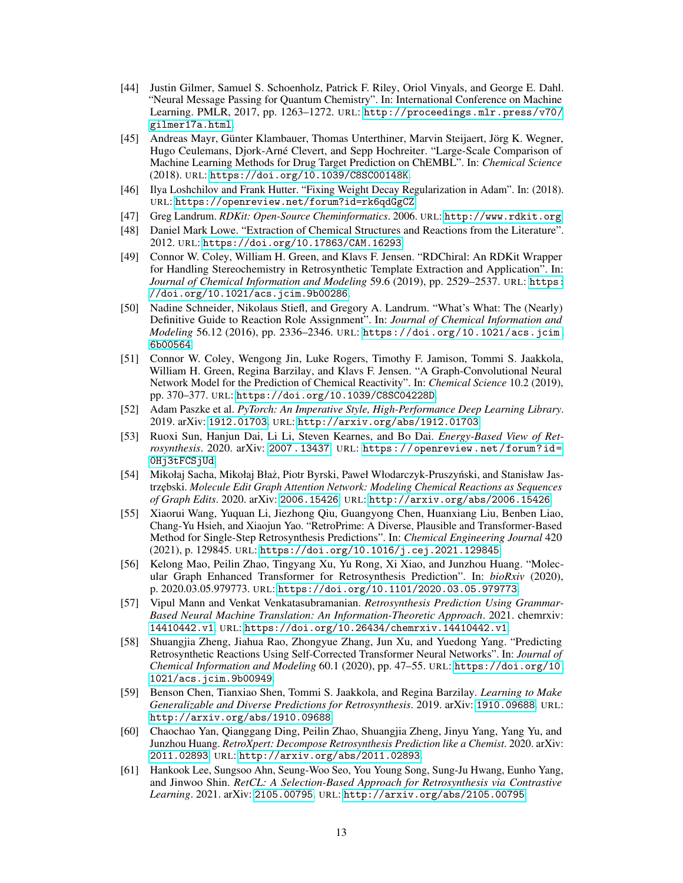- <span id="page-12-0"></span>[44] Justin Gilmer, Samuel S. Schoenholz, Patrick F. Riley, Oriol Vinyals, and George E. Dahl. "Neural Message Passing for Quantum Chemistry". In: International Conference on Machine Learning. PMLR, 2017, pp. 1263–1272. URL: [http://proceedings.mlr.press/v70/](http://proceedings.mlr.press/v70/gilmer17a.html) [gilmer17a.html](http://proceedings.mlr.press/v70/gilmer17a.html).
- <span id="page-12-1"></span>[45] Andreas Mayr, Günter Klambauer, Thomas Unterthiner, Marvin Steijaert, Jörg K. Wegner, Hugo Ceulemans, Djork-Arné Clevert, and Sepp Hochreiter. "Large-Scale Comparison of Machine Learning Methods for Drug Target Prediction on ChEMBL". In: *Chemical Science* (2018). URL: <https://doi.org/10.1039/C8SC00148K>.
- <span id="page-12-2"></span>[46] Ilya Loshchilov and Frank Hutter. "Fixing Weight Decay Regularization in Adam". In: (2018). URL: <https://openreview.net/forum?id=rk6qdGgCZ>.
- <span id="page-12-3"></span>[47] Greg Landrum. *RDKit: Open-Source Cheminformatics*. 2006. URL: <http://www.rdkit.org>.
- <span id="page-12-4"></span>[48] Daniel Mark Lowe. "Extraction of Chemical Structures and Reactions from the Literature". 2012. URL: <https://doi.org/10.17863/CAM.16293>.
- <span id="page-12-5"></span>[49] Connor W. Coley, William H. Green, and Klavs F. Jensen. "RDChiral: An RDKit Wrapper for Handling Stereochemistry in Retrosynthetic Template Extraction and Application". In: *Journal of Chemical Information and Modeling* 59.6 (2019), pp. 2529–2537. URL: [https:](https://doi.org/10.1021/acs.jcim.9b00286) [//doi.org/10.1021/acs.jcim.9b00286](https://doi.org/10.1021/acs.jcim.9b00286).
- <span id="page-12-6"></span>[50] Nadine Schneider, Nikolaus Stiefl, and Gregory A. Landrum. "What's What: The (Nearly) Definitive Guide to Reaction Role Assignment". In: *Journal of Chemical Information and Modeling* 56.12 (2016), pp. 2336–2346. URL: [https://doi.org/10.1021/acs.jcim.](https://doi.org/10.1021/acs.jcim.6b00564) [6b00564](https://doi.org/10.1021/acs.jcim.6b00564).
- <span id="page-12-7"></span>[51] Connor W. Coley, Wengong Jin, Luke Rogers, Timothy F. Jamison, Tommi S. Jaakkola, William H. Green, Regina Barzilay, and Klavs F. Jensen. "A Graph-Convolutional Neural Network Model for the Prediction of Chemical Reactivity". In: *Chemical Science* 10.2 (2019), pp. 370–377. URL: <https://doi.org/10.1039/C8SC04228D>.
- <span id="page-12-8"></span>[52] Adam Paszke et al. *PyTorch: An Imperative Style, High-Performance Deep Learning Library*. 2019. arXiv: [1912.01703](https://arxiv.org/abs/1912.01703). URL: <http://arxiv.org/abs/1912.01703>.
- <span id="page-12-9"></span>[53] Ruoxi Sun, Hanjun Dai, Li Li, Steven Kearnes, and Bo Dai. *Energy-Based View of Retrosynthesis*. 2020. arXiv: [2007.13437](https://arxiv.org/abs/2007.13437). URL: [https://openreview.net/forum?id=](https://openreview.net/forum?id=0Hj3tFCSjUd) [0Hj3tFCSjUd](https://openreview.net/forum?id=0Hj3tFCSjUd).
- <span id="page-12-10"></span>[54] Mikołaj Sacha, Mikołaj Błaż, Piotr Byrski, Paweł Włodarczyk-Pruszyński, and Stanisław Jastrz˛ebski. *Molecule Edit Graph Attention Network: Modeling Chemical Reactions as Sequences of Graph Edits*. 2020. arXiv: [2006.15426](https://arxiv.org/abs/2006.15426). URL: <http://arxiv.org/abs/2006.15426>.
- <span id="page-12-11"></span>[55] Xiaorui Wang, Yuquan Li, Jiezhong Qiu, Guangyong Chen, Huanxiang Liu, Benben Liao, Chang-Yu Hsieh, and Xiaojun Yao. "RetroPrime: A Diverse, Plausible and Transformer-Based Method for Single-Step Retrosynthesis Predictions". In: *Chemical Engineering Journal* 420 (2021), p. 129845. URL: <https://doi.org/10.1016/j.cej.2021.129845>.
- <span id="page-12-12"></span>[56] Kelong Mao, Peilin Zhao, Tingyang Xu, Yu Rong, Xi Xiao, and Junzhou Huang. "Molecular Graph Enhanced Transformer for Retrosynthesis Prediction". In: *bioRxiv* (2020), p. 2020.03.05.979773. URL: <https://doi.org/10.1101/2020.03.05.979773>.
- <span id="page-12-13"></span>[57] Vipul Mann and Venkat Venkatasubramanian. *Retrosynthesis Prediction Using Grammar-Based Neural Machine Translation: An Information-Theoretic Approach*. 2021. chemrxiv: <14410442.v1>. URL: <https://doi.org/10.26434/chemrxiv.14410442.v1>.
- <span id="page-12-14"></span>[58] Shuangjia Zheng, Jiahua Rao, Zhongyue Zhang, Jun Xu, and Yuedong Yang. "Predicting Retrosynthetic Reactions Using Self-Corrected Transformer Neural Networks". In: *Journal of Chemical Information and Modeling* 60.1 (2020), pp. 47–55. URL: [https://doi.org/10.](https://doi.org/10.1021/acs.jcim.9b00949) [1021/acs.jcim.9b00949](https://doi.org/10.1021/acs.jcim.9b00949).
- <span id="page-12-15"></span>[59] Benson Chen, Tianxiao Shen, Tommi S. Jaakkola, and Regina Barzilay. *Learning to Make Generalizable and Diverse Predictions for Retrosynthesis*. 2019. arXiv: [1910.09688](https://arxiv.org/abs/1910.09688). URL: <http://arxiv.org/abs/1910.09688>.
- <span id="page-12-16"></span>[60] Chaochao Yan, Qianggang Ding, Peilin Zhao, Shuangjia Zheng, Jinyu Yang, Yang Yu, and Junzhou Huang. *RetroXpert: Decompose Retrosynthesis Prediction like a Chemist*. 2020. arXiv: [2011.02893](https://arxiv.org/abs/2011.02893). URL: <http://arxiv.org/abs/2011.02893>.
- <span id="page-12-17"></span>[61] Hankook Lee, Sungsoo Ahn, Seung-Woo Seo, You Young Song, Sung-Ju Hwang, Eunho Yang, and Jinwoo Shin. *RetCL: A Selection-Based Approach for Retrosynthesis via Contrastive Learning*. 2021. arXiv: [2105.00795](https://arxiv.org/abs/2105.00795). URL: <http://arxiv.org/abs/2105.00795>.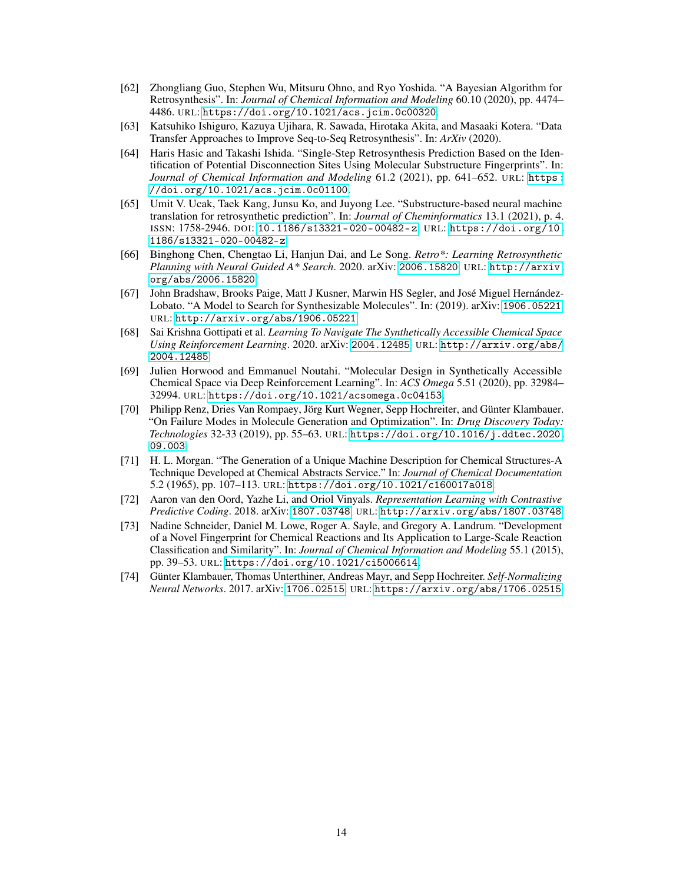- <span id="page-13-9"></span>[62] Zhongliang Guo, Stephen Wu, Mitsuru Ohno, and Ryo Yoshida. "A Bayesian Algorithm for Retrosynthesis". In: *Journal of Chemical Information and Modeling* 60.10 (2020), pp. 4474– 4486. URL: <https://doi.org/10.1021/acs.jcim.0c00320>.
- <span id="page-13-10"></span>[63] Katsuhiko Ishiguro, Kazuya Ujihara, R. Sawada, Hirotaka Akita, and Masaaki Kotera. "Data Transfer Approaches to Improve Seq-to-Seq Retrosynthesis". In: *ArXiv* (2020).
- <span id="page-13-8"></span>[64] Haris Hasic and Takashi Ishida. "Single-Step Retrosynthesis Prediction Based on the Identification of Potential Disconnection Sites Using Molecular Substructure Fingerprints". In: *Journal of Chemical Information and Modeling* 61.2 (2021), pp. 641–652. URL: [https :](https://doi.org/10.1021/acs.jcim.0c01100) [//doi.org/10.1021/acs.jcim.0c01100](https://doi.org/10.1021/acs.jcim.0c01100).
- <span id="page-13-0"></span>[65] Umit V. Ucak, Taek Kang, Junsu Ko, and Juyong Lee. "Substructure-based neural machine translation for retrosynthetic prediction". In: *Journal of Cheminformatics* 13.1 (2021), p. 4. ISSN: 1758-2946. DOI: [10.1186/s13321- 020- 00482- z](https://doi.org/10.1186/s13321-020-00482-z). URL: [https://doi.org/10.](https://doi.org/10.1186/s13321-020-00482-z) [1186/s13321-020-00482-z](https://doi.org/10.1186/s13321-020-00482-z).
- <span id="page-13-1"></span>[66] Binghong Chen, Chengtao Li, Hanjun Dai, and Le Song. *Retro\*: Learning Retrosynthetic Planning with Neural Guided A\* Search*. 2020. arXiv: [2006.15820](https://arxiv.org/abs/2006.15820). URL: [http://arxiv.](http://arxiv.org/abs/2006.15820) [org/abs/2006.15820](http://arxiv.org/abs/2006.15820).
- <span id="page-13-2"></span>[67] John Bradshaw, Brooks Paige, Matt J Kusner, Marwin HS Segler, and José Miguel Hernández-Lobato. "A Model to Search for Synthesizable Molecules". In: (2019). arXiv: [1906.05221](https://arxiv.org/abs/1906.05221). URL: <http://arxiv.org/abs/1906.05221>.
- [68] Sai Krishna Gottipati et al. *Learning To Navigate The Synthetically Accessible Chemical Space Using Reinforcement Learning*. 2020. arXiv: [2004.12485](https://arxiv.org/abs/2004.12485). URL: [http://arxiv.org/abs/](http://arxiv.org/abs/2004.12485) [2004.12485](http://arxiv.org/abs/2004.12485).
- [69] Julien Horwood and Emmanuel Noutahi. "Molecular Design in Synthetically Accessible Chemical Space via Deep Reinforcement Learning". In: *ACS Omega* 5.51 (2020), pp. 32984– 32994. URL: <https://doi.org/10.1021/acsomega.0c04153>.
- <span id="page-13-3"></span>[70] Philipp Renz, Dries Van Rompaey, Jörg Kurt Wegner, Sepp Hochreiter, and Günter Klambauer. "On Failure Modes in Molecule Generation and Optimization". In: *Drug Discovery Today: Technologies* 32-33 (2019), pp. 55–63. URL: [https://doi.org/10.1016/j.ddtec.2020.](https://doi.org/10.1016/j.ddtec.2020.09.003) [09.003](https://doi.org/10.1016/j.ddtec.2020.09.003).
- <span id="page-13-4"></span>[71] H. L. Morgan. "The Generation of a Unique Machine Description for Chemical Structures-A Technique Developed at Chemical Abstracts Service." In: *Journal of Chemical Documentation* 5.2 (1965), pp. 107–113. URL: <https://doi.org/10.1021/c160017a018>.
- <span id="page-13-5"></span>[72] Aaron van den Oord, Yazhe Li, and Oriol Vinyals. *Representation Learning with Contrastive Predictive Coding*. 2018. arXiv: [1807.03748](https://arxiv.org/abs/1807.03748). URL: <http://arxiv.org/abs/1807.03748>.
- <span id="page-13-6"></span>[73] Nadine Schneider, Daniel M. Lowe, Roger A. Sayle, and Gregory A. Landrum. "Development of a Novel Fingerprint for Chemical Reactions and Its Application to Large-Scale Reaction Classification and Similarity". In: *Journal of Chemical Information and Modeling* 55.1 (2015), pp. 39–53. URL: <https://doi.org/10.1021/ci5006614>.
- <span id="page-13-7"></span>[74] Günter Klambauer, Thomas Unterthiner, Andreas Mayr, and Sepp Hochreiter. *Self-Normalizing Neural Networks*. 2017. arXiv: [1706.02515](https://arxiv.org/abs/1706.02515). URL: <https://arxiv.org/abs/1706.02515>.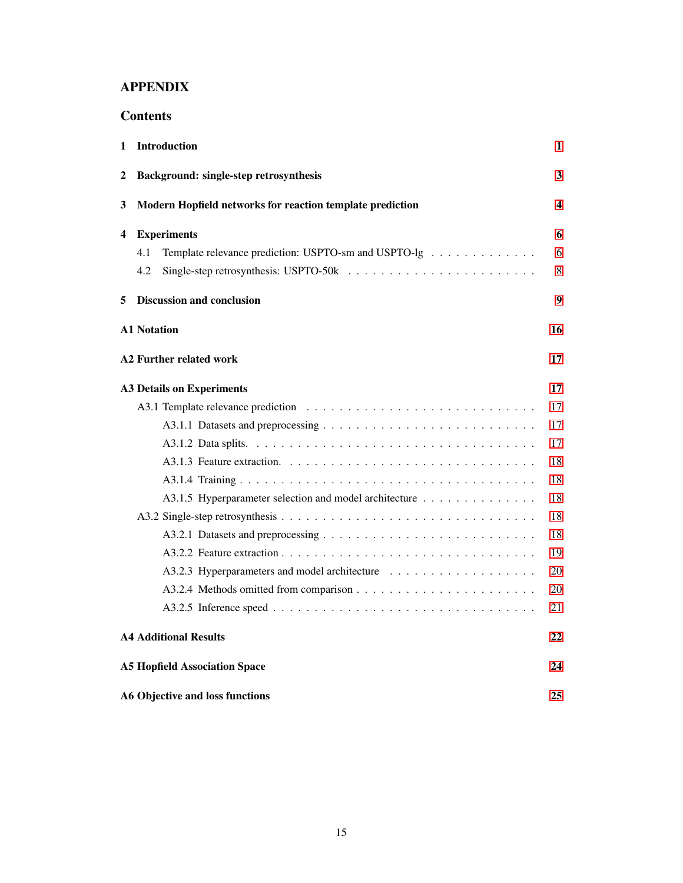## APPENDIX

| 1 | Introduction                                                | 1  |  |  |  |  |  |
|---|-------------------------------------------------------------|----|--|--|--|--|--|
| 2 | Background: single-step retrosynthesis                      | 3  |  |  |  |  |  |
| 3 | Modern Hopfield networks for reaction template prediction   |    |  |  |  |  |  |
| 4 | <b>Experiments</b>                                          | 6  |  |  |  |  |  |
|   | 4.1<br>Template relevance prediction: USPTO-sm and USPTO-lg | 6  |  |  |  |  |  |
|   | 4.2                                                         | 8  |  |  |  |  |  |
| 5 | <b>Discussion and conclusion</b>                            | 9  |  |  |  |  |  |
|   | <b>A1 Notation</b>                                          | 16 |  |  |  |  |  |
|   | A2 Further related work                                     | 17 |  |  |  |  |  |
|   | <b>A3 Details on Experiments</b>                            | 17 |  |  |  |  |  |
|   |                                                             | 17 |  |  |  |  |  |
|   |                                                             | 17 |  |  |  |  |  |
|   |                                                             | 17 |  |  |  |  |  |
|   |                                                             | 18 |  |  |  |  |  |
|   |                                                             | 18 |  |  |  |  |  |
|   | A3.1.5 Hyperparameter selection and model architecture      | 18 |  |  |  |  |  |
|   |                                                             | 18 |  |  |  |  |  |
|   |                                                             | 18 |  |  |  |  |  |
|   |                                                             | 19 |  |  |  |  |  |
|   |                                                             | 20 |  |  |  |  |  |
|   |                                                             | 20 |  |  |  |  |  |
|   |                                                             | 21 |  |  |  |  |  |
|   | <b>A4 Additional Results</b>                                | 22 |  |  |  |  |  |
|   | <b>A5 Hopfield Association Space</b>                        | 24 |  |  |  |  |  |
|   | <b>A6 Objective and loss functions</b>                      | 25 |  |  |  |  |  |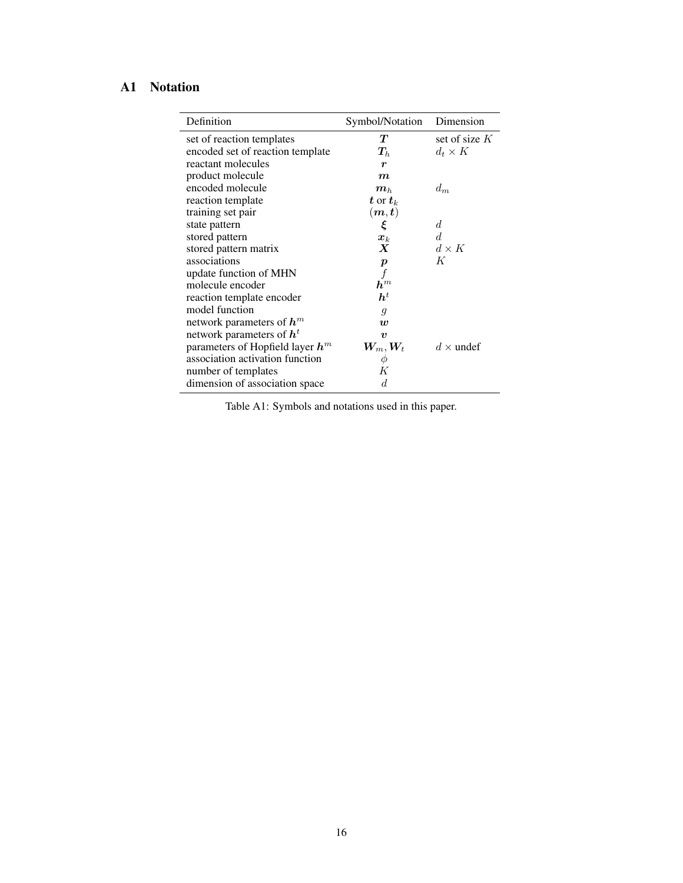## <span id="page-15-0"></span>A1 Notation

| Definition                         | Symbol/Notation                        | Dimension        |
|------------------------------------|----------------------------------------|------------------|
| set of reaction templates          | T                                      | set of size $K$  |
| encoded set of reaction template   | $\bm{T}_h$                             | $d_t \times K$   |
| reactant molecules                 | r                                      |                  |
| product molecule                   | $\boldsymbol{m}$                       |                  |
| encoded molecule                   | $\boldsymbol{m}_h$                     | $d_m$            |
| reaction template                  | $\boldsymbol{t}$ or $\boldsymbol{t}_k$ |                  |
| training set pair                  | $(\boldsymbol{m},\boldsymbol{t})$      |                  |
| state pattern                      | ξ                                      | d                |
| stored pattern                     | $\boldsymbol{x}_k$                     | d.               |
| stored pattern matrix              | $\boldsymbol{X}$                       | $d\times K$      |
| associations                       | $\boldsymbol{p}$                       | K                |
| update function of MHN             |                                        |                  |
| molecule encoder                   | $\bm{h}^m$                             |                  |
| reaction template encoder          | $h^t$                                  |                  |
| model function                     | $\mathfrak{g}$                         |                  |
| network parameters of $h^m$        | w                                      |                  |
| network parameters of $ht$         | $\boldsymbol{v}$                       |                  |
| parameters of Hopfield layer $h^m$ | $\boldsymbol{W_m}, \boldsymbol{W_t}$   | $d \times$ undef |
| association activation function    | φ                                      |                  |
| number of templates                | Κ                                      |                  |
| dimension of association space     | d                                      |                  |

Table A1: Symbols and notations used in this paper.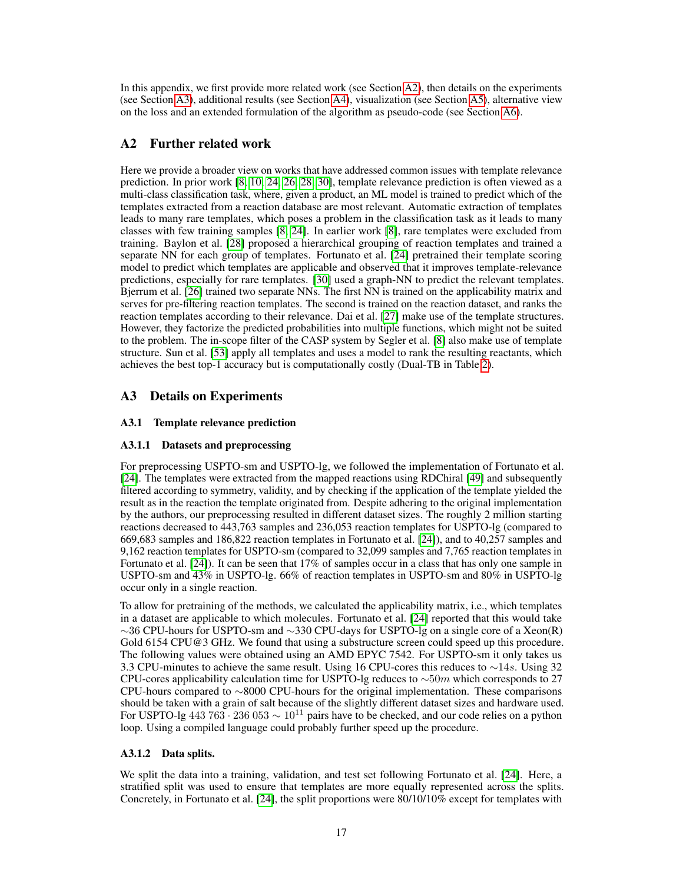In this appendix, we first provide more related work (see Section [A2\)](#page-16-1), then details on the experiments (see Section [A3\)](#page-16-0), additional results (see Section [A4\)](#page-21-0), visualization (see Section [A5\)](#page-23-0), alternative view on the loss and an extended formulation of the algorithm as pseudo-code (see Section [A6\)](#page-24-0).

## <span id="page-16-1"></span>A2 Further related work

Here we provide a broader view on works that have addressed common issues with template relevance prediction. In prior work [\[8,](#page-10-0) [10,](#page-10-1) [24,](#page-10-10) [26,](#page-11-5) [28,](#page-11-15) [30\]](#page-11-0), template relevance prediction is often viewed as a multi-class classification task, where, given a product, an ML model is trained to predict which of the templates extracted from a reaction database are most relevant. Automatic extraction of templates leads to many rare templates, which poses a problem in the classification task as it leads to many classes with few training samples [\[8,](#page-10-0) [24\]](#page-10-10). In earlier work [\[8\]](#page-10-0), rare templates were excluded from training. Baylon et al. [\[28\]](#page-11-15) proposed a hierarchical grouping of reaction templates and trained a separate NN for each group of templates. Fortunato et al. [\[24\]](#page-10-10) pretrained their template scoring model to predict which templates are applicable and observed that it improves template-relevance predictions, especially for rare templates. [\[30\]](#page-11-0) used a graph-NN to predict the relevant templates. Bjerrum et al. [\[26\]](#page-11-5) trained two separate NNs. The first NN is trained on the applicability matrix and serves for pre-filtering reaction templates. The second is trained on the reaction dataset, and ranks the reaction templates according to their relevance. Dai et al. [\[27\]](#page-11-7) make use of the template structures. However, they factorize the predicted probabilities into multiple functions, which might not be suited to the problem. The in-scope filter of the CASP system by Segler et al. [\[8\]](#page-10-0) also make use of template structure. Sun et al. [\[53\]](#page-12-9) apply all templates and uses a model to rank the resulting reactants, which achieves the best top-1 accuracy but is computationally costly (Dual-TB in Table [2\)](#page-7-0).

## <span id="page-16-0"></span>A3 Details on Experiments

## <span id="page-16-2"></span>A3.1 Template relevance prediction

### <span id="page-16-3"></span>A3.1.1 Datasets and preprocessing

For preprocessing USPTO-sm and USPTO-lg, we followed the implementation of Fortunato et al. [\[24\]](#page-10-10). The templates were extracted from the mapped reactions using RDChiral [\[49\]](#page-12-5) and subsequently filtered according to symmetry, validity, and by checking if the application of the template yielded the result as in the reaction the template originated from. Despite adhering to the original implementation by the authors, our preprocessing resulted in different dataset sizes. The roughly 2 million starting reactions decreased to 443,763 samples and 236,053 reaction templates for USPTO-lg (compared to 669,683 samples and 186,822 reaction templates in Fortunato et al. [\[24\]](#page-10-10)), and to 40,257 samples and 9,162 reaction templates for USPTO-sm (compared to 32,099 samples and 7,765 reaction templates in Fortunato et al. [\[24\]](#page-10-10)). It can be seen that 17% of samples occur in a class that has only one sample in USPTO-sm and 43% in USPTO-lg. 66% of reaction templates in USPTO-sm and 80% in USPTO-lg occur only in a single reaction.

To allow for pretraining of the methods, we calculated the applicability matrix, i.e., which templates in a dataset are applicable to which molecules. Fortunato et al. [\[24\]](#page-10-10) reported that this would take ∼36 CPU-hours for USPTO-sm and ∼330 CPU-days for USPTO-lg on a single core of a Xeon(R) Gold 6154 CPU@3 GHz. We found that using a substructure screen could speed up this procedure. The following values were obtained using an AMD EPYC 7542. For USPTO-sm it only takes us 3.3 CPU-minutes to achieve the same result. Using 16 CPU-cores this reduces to ∼14s. Using 32 CPU-cores applicability calculation time for USPTO-lg reduces to  $\sim$ 50m which corresponds to 27 CPU-hours compared to ∼8000 CPU-hours for the original implementation. These comparisons should be taken with a grain of salt because of the slightly different dataset sizes and hardware used. For USPTO-lg 443 763  $\cdot$  236 053  $\sim 10^{11}$  pairs have to be checked, and our code relies on a python loop. Using a compiled language could probably further speed up the procedure.

#### <span id="page-16-4"></span>A3.1.2 Data splits.

We split the data into a training, validation, and test set following Fortunato et al. [\[24\]](#page-10-10). Here, a stratified split was used to ensure that templates are more equally represented across the splits. Concretely, in Fortunato et al. [\[24\]](#page-10-10), the split proportions were 80/10/10% except for templates with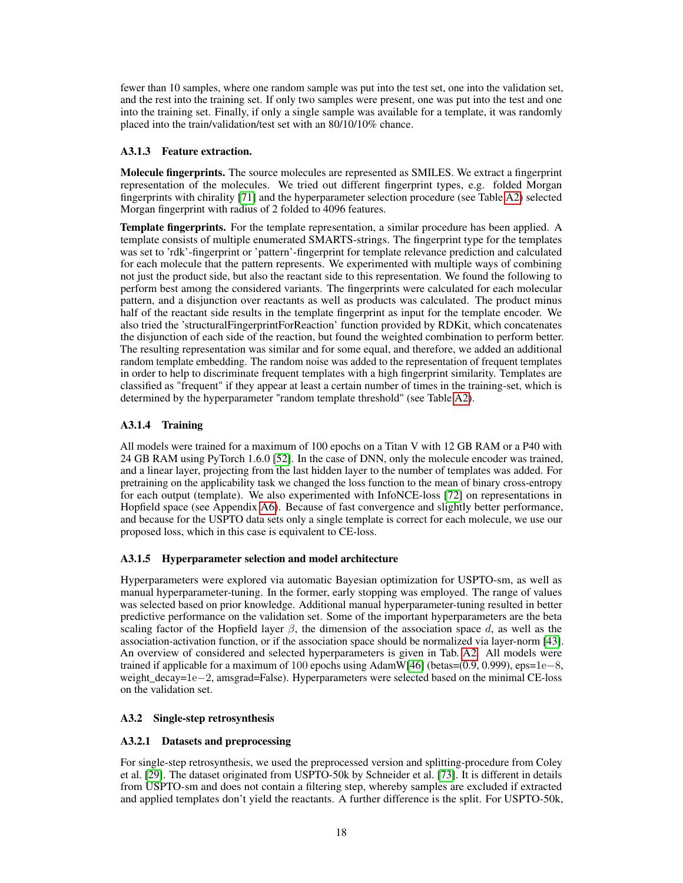fewer than 10 samples, where one random sample was put into the test set, one into the validation set, and the rest into the training set. If only two samples were present, one was put into the test and one into the training set. Finally, if only a single sample was available for a template, it was randomly placed into the train/validation/test set with an 80/10/10% chance.

#### <span id="page-17-0"></span>A3.1.3 Feature extraction.

Molecule fingerprints. The source molecules are represented as SMILES. We extract a fingerprint representation of the molecules. We tried out different fingerprint types, e.g. folded Morgan fingerprints with chirality [\[71\]](#page-13-4) and the hyperparameter selection procedure (see Table [A2\)](#page-7-0) selected Morgan fingerprint with radius of 2 folded to 4096 features.

Template fingerprints. For the template representation, a similar procedure has been applied. A template consists of multiple enumerated SMARTS-strings. The fingerprint type for the templates was set to 'rdk'-fingerprint or 'pattern'-fingerprint for template relevance prediction and calculated for each molecule that the pattern represents. We experimented with multiple ways of combining not just the product side, but also the reactant side to this representation. We found the following to perform best among the considered variants. The fingerprints were calculated for each molecular pattern, and a disjunction over reactants as well as products was calculated. The product minus half of the reactant side results in the template fingerprint as input for the template encoder. We also tried the 'structuralFingerprintForReaction' function provided by RDKit, which concatenates the disjunction of each side of the reaction, but found the weighted combination to perform better. The resulting representation was similar and for some equal, and therefore, we added an additional random template embedding. The random noise was added to the representation of frequent templates in order to help to discriminate frequent templates with a high fingerprint similarity. Templates are classified as "frequent" if they appear at least a certain number of times in the training-set, which is determined by the hyperparameter "random template threshold" (see Table [A2\)](#page-7-0).

## <span id="page-17-1"></span>A3.1.4 Training

All models were trained for a maximum of 100 epochs on a Titan V with 12 GB RAM or a P40 with 24 GB RAM using PyTorch 1.6.0 [\[52\]](#page-12-8). In the case of DNN, only the molecule encoder was trained, and a linear layer, projecting from the last hidden layer to the number of templates was added. For pretraining on the applicability task we changed the loss function to the mean of binary cross-entropy for each output (template). We also experimented with InfoNCE-loss [\[72\]](#page-13-5) on representations in Hopfield space (see Appendix [A6\)](#page-24-0). Because of fast convergence and slightly better performance, and because for the USPTO data sets only a single template is correct for each molecule, we use our proposed loss, which in this case is equivalent to CE-loss.

## <span id="page-17-2"></span>A3.1.5 Hyperparameter selection and model architecture

Hyperparameters were explored via automatic Bayesian optimization for USPTO-sm, as well as manual hyperparameter-tuning. In the former, early stopping was employed. The range of values was selected based on prior knowledge. Additional manual hyperparameter-tuning resulted in better predictive performance on the validation set. Some of the important hyperparameters are the beta scaling factor of the Hopfield layer  $\beta$ , the dimension of the association space d, as well as the association-activation function, or if the association space should be normalized via layer-norm [\[43\]](#page-11-13). An overview of considered and selected hyperparameters is given in Tab. [A2.](#page-7-0) All models were trained if applicable for a maximum of 100 epochs using AdamW[\[46\]](#page-12-2) (betas= $(0.9, 0.999)$ , eps=1e–8, weight\_decay=1e−2, amsgrad=False). Hyperparameters were selected based on the minimal CE-loss on the validation set.

## <span id="page-17-3"></span>A3.2 Single-step retrosynthesis

## <span id="page-17-4"></span>A3.2.1 Datasets and preprocessing

For single-step retrosynthesis, we used the preprocessed version and splitting-procedure from Coley et al. [\[29\]](#page-11-14). The dataset originated from USPTO-50k by Schneider et al. [\[73\]](#page-13-6). It is different in details from USPTO-sm and does not contain a filtering step, whereby samples are excluded if extracted and applied templates don't yield the reactants. A further difference is the split. For USPTO-50k,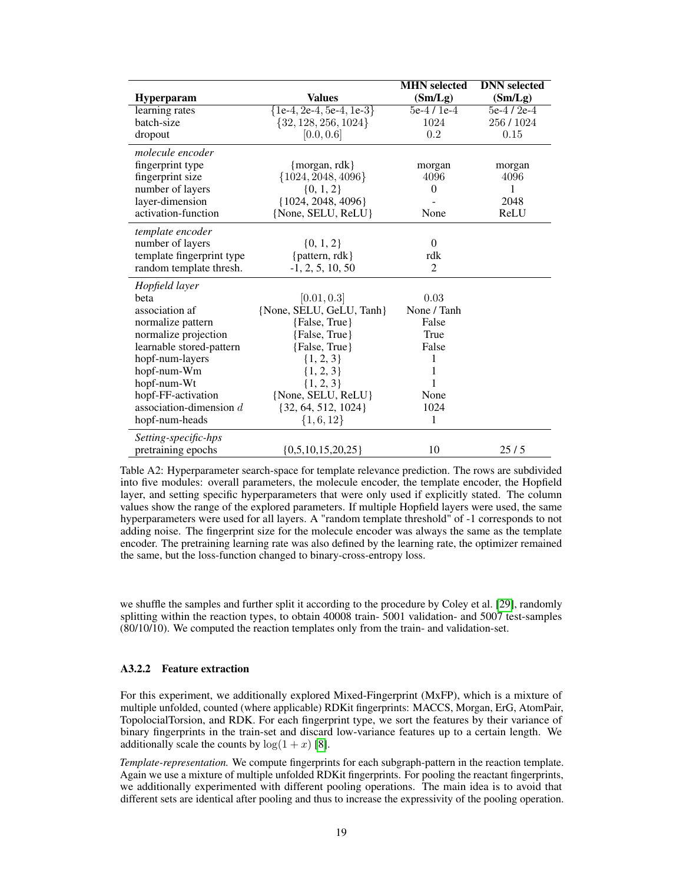|                           |                              | <b>MHN</b> selected | <b>DNN</b> selected |
|---------------------------|------------------------------|---------------------|---------------------|
| <b>Hyperparam</b>         | <b>Values</b>                | (Sm/Lg)             | (Sm/Lg)             |
| learning rates            | $\{1e-4, 2e-4, 5e-4, 1e-3\}$ | $5e-4/1e-4$         | $5e-4/2e-4$         |
| batch-size                | ${32, 128, 256, 1024}$       | 1024                | 256/1024            |
| dropout                   | [0.0, 0.6]                   | 0.2                 | 0.15                |
| molecule encoder          |                              |                     |                     |
| fingerprint type          | ${~}$ morgan, rdk $}$        | morgan              | morgan              |
| fingerprint size          | $\{1024, 2048, 4096\}$       | 4096                | 4096                |
| number of layers          | $\{0, 1, 2\}$                | $\theta$            | 1                   |
| layer-dimension           | $\{1024, 2048, 4096\}$       |                     | 2048                |
| activation-function       | {None, SELU, ReLU}           | None                | ReLU                |
| template encoder          |                              |                     |                     |
| number of layers          | $\{0, 1, 2\}$                | $\theta$            |                     |
| template fingerprint type | {pattern, rdk}               | rdk                 |                     |
| random template thresh.   | $-1, 2, 5, 10, 50$           | $\overline{2}$      |                     |
| Hopfield layer            |                              |                     |                     |
| beta                      | [0.01, 0.3]                  | 0.03                |                     |
| association af            | {None, SELU, GeLU, Tanh}     | None / Tanh         |                     |
| normalize pattern         | {False, True}                | False               |                     |
| normalize projection      | {False, True}                | True                |                     |
| learnable stored-pattern  | {False, True}                | False               |                     |
| hopf-num-layers           | $\{1, 2, 3\}$                | 1                   |                     |
| hopf-num-Wm               | $\{1, 2, 3\}$                | 1                   |                     |
| hopf-num-Wt               | $\{1, 2, 3\}$                | 1                   |                     |
| hopf-FF-activation        | {None, SELU, ReLU}           | None                |                     |
| association-dimension $d$ | $\{32, 64, 512, 1024\}$      | 1024                |                     |
| hopf-num-heads            | $\{1,6,12\}$                 | 1                   |                     |
| Setting-specific-hps      |                              |                     |                     |
| pretraining epochs        | ${0,5,10,15,20,25}$          | 10                  | 25/5                |

Table A2: Hyperparameter search-space for template relevance prediction. The rows are subdivided into five modules: overall parameters, the molecule encoder, the template encoder, the Hopfield layer, and setting specific hyperparameters that were only used if explicitly stated. The column values show the range of the explored parameters. If multiple Hopfield layers were used, the same hyperparameters were used for all layers. A "random template threshold" of -1 corresponds to not adding noise. The fingerprint size for the molecule encoder was always the same as the template encoder. The pretraining learning rate was also defined by the learning rate, the optimizer remained the same, but the loss-function changed to binary-cross-entropy loss.

we shuffle the samples and further split it according to the procedure by Coley et al. [\[29\]](#page-11-14), randomly splitting within the reaction types, to obtain 40008 train- 5001 validation- and 5007 test-samples (80/10/10). We computed the reaction templates only from the train- and validation-set.

#### <span id="page-18-0"></span>A3.2.2 Feature extraction

For this experiment, we additionally explored Mixed-Fingerprint (MxFP), which is a mixture of multiple unfolded, counted (where applicable) RDKit fingerprints: MACCS, Morgan, ErG, AtomPair, TopolocialTorsion, and RDK. For each fingerprint type, we sort the features by their variance of binary fingerprints in the train-set and discard low-variance features up to a certain length. We additionally scale the counts by  $log(1 + x)$  [\[8\]](#page-10-0).

*Template-representation.* We compute fingerprints for each subgraph-pattern in the reaction template. Again we use a mixture of multiple unfolded RDKit fingerprints. For pooling the reactant fingerprints, we additionally experimented with different pooling operations. The main idea is to avoid that different sets are identical after pooling and thus to increase the expressivity of the pooling operation.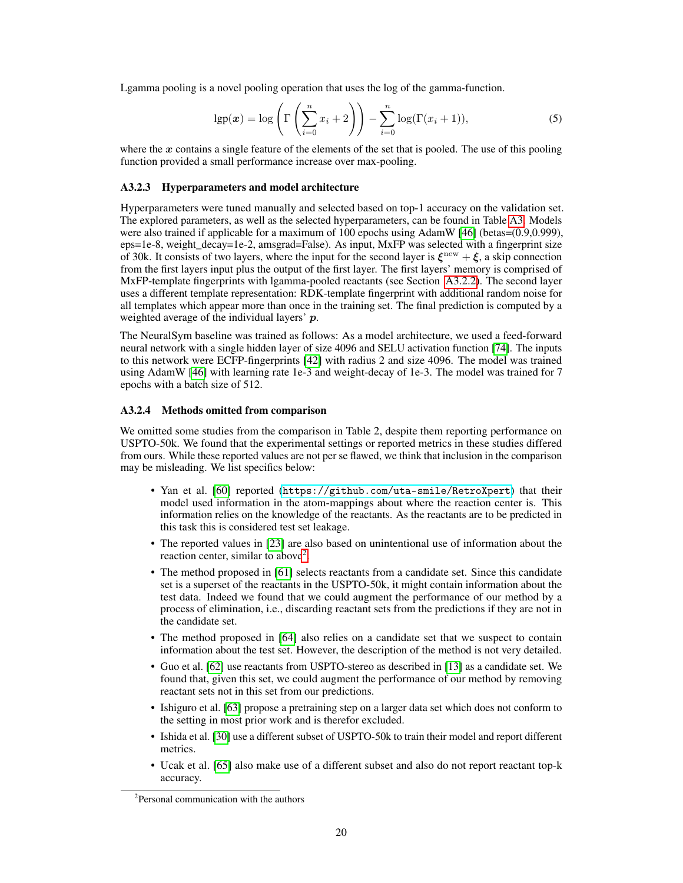Lgamma pooling is a novel pooling operation that uses the log of the gamma-function.

$$
\lg p(\boldsymbol{x}) = \log \left( \Gamma \left( \sum_{i=0}^{n} x_i + 2 \right) \right) - \sum_{i=0}^{n} \log(\Gamma(x_i + 1)), \tag{5}
$$

where the  $x$  contains a single feature of the elements of the set that is pooled. The use of this pooling function provided a small performance increase over max-pooling.

#### <span id="page-19-0"></span>A3.2.3 Hyperparameters and model architecture

Hyperparameters were tuned manually and selected based on top-1 accuracy on the validation set. The explored parameters, as well as the selected hyperparameters, can be found in Table [A3.](#page-20-0) Models were also trained if applicable for a maximum of 100 epochs using AdamW [\[46\]](#page-12-2) (betas=(0.9,0.999),  $eps=1e-8$ , weight  $decay=1e-2$ , amsgrad=False). As input, MxFP was selected with a fingerprint size of 30k. It consists of two layers, where the input for the second layer is  $\xi^{\text{new}} + \xi$ , a skip connection from the first layers input plus the output of the first layer. The first layers' memory is comprised of MxFP-template fingerprints with lgamma-pooled reactants (see Section [A3.2.2\)](#page-18-0). The second layer uses a different template representation: RDK-template fingerprint with additional random noise for all templates which appear more than once in the training set. The final prediction is computed by a weighted average of the individual layers' p.

The NeuralSym baseline was trained as follows: As a model architecture, we used a feed-forward neural network with a single hidden layer of size 4096 and SELU activation function [\[74\]](#page-13-7). The inputs to this network were ECFP-fingerprints [\[42\]](#page-11-12) with radius 2 and size 4096. The model was trained using AdamW [\[46\]](#page-12-2) with learning rate 1e-3 and weight-decay of 1e-3. The model was trained for 7 epochs with a batch size of 512.

#### <span id="page-19-1"></span>A3.2.4 Methods omitted from comparison

We omitted some studies from the comparison in Table 2, despite them reporting performance on USPTO-50k. We found that the experimental settings or reported metrics in these studies differed from ours. While these reported values are not per se flawed, we think that inclusion in the comparison may be misleading. We list specifics below:

- Yan et al. [\[60\]](#page-12-16) reported (<https://github.com/uta-smile/RetroXpert>) that their model used information in the atom-mappings about where the reaction center is. This information relies on the knowledge of the reactants. As the reactants are to be predicted in this task this is considered test set leakage.
- The reported values in [\[23\]](#page-10-9) are also based on unintentional use of information about the reaction center, similar to above<sup>[2](#page-19-2)</sup>.
- The method proposed in [\[61\]](#page-12-17) selects reactants from a candidate set. Since this candidate set is a superset of the reactants in the USPTO-50k, it might contain information about the test data. Indeed we found that we could augment the performance of our method by a process of elimination, i.e., discarding reactant sets from the predictions if they are not in the candidate set.
- The method proposed in [\[64\]](#page-13-8) also relies on a candidate set that we suspect to contain information about the test set. However, the description of the method is not very detailed.
- Guo et al. [\[62\]](#page-13-9) use reactants from USPTO-stereo as described in [\[13\]](#page-10-3) as a candidate set. We found that, given this set, we could augment the performance of our method by removing reactant sets not in this set from our predictions.
- Ishiguro et al. [\[63\]](#page-13-10) propose a pretraining step on a larger data set which does not conform to the setting in most prior work and is therefor excluded.
- Ishida et al. [\[30\]](#page-11-0) use a different subset of USPTO-50k to train their model and report different metrics.
- Ucak et al. [\[65\]](#page-13-0) also make use of a different subset and also do not report reactant top-k accuracy.

<span id="page-19-2"></span><sup>2</sup> Personal communication with the authors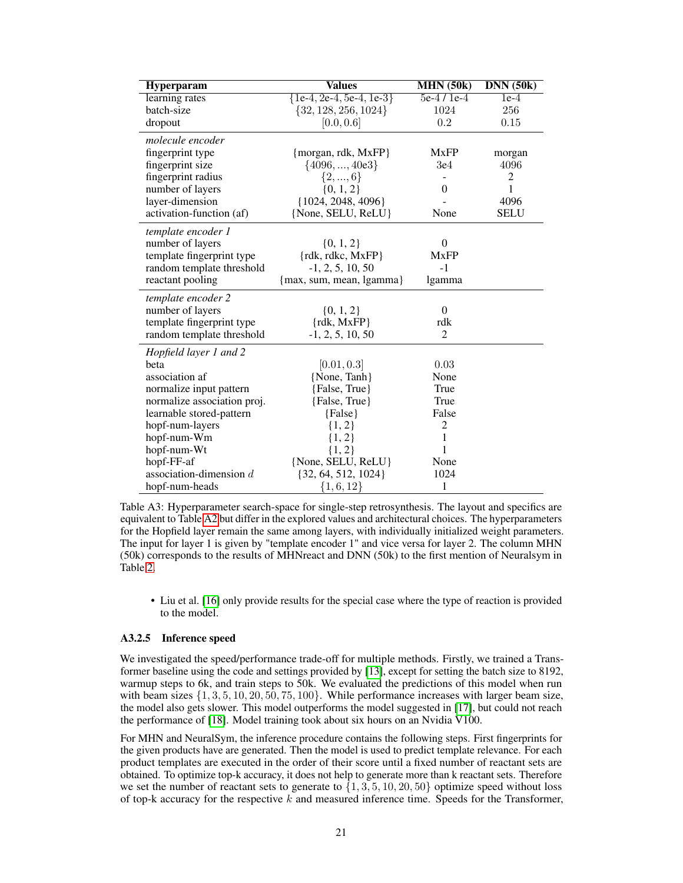<span id="page-20-0"></span>

| <b>Hyperparam</b>           | <b>Values</b>                | MHN(50k)       | DNN(50k)       |
|-----------------------------|------------------------------|----------------|----------------|
| learning rates              | $\{1e-4, 2e-4, 5e-4, 1e-3\}$ | $5e-4/1e-4$    | $1e-4$         |
| batch-size                  | $\{32, 128, 256, 1024\}$     | 1024           | 256            |
| dropout                     | [0.0, 0.6]                   | $\rm 0.2$      | 0.15           |
| molecule encoder            |                              |                |                |
| fingerprint type            | {morgan, rdk, MxFP}          | <b>MxFP</b>    | morgan         |
| fingerprint size            | $\{4096, , 40e3\}$           | 3e4            | 4096           |
| fingerprint radius          | $\{2, , 6\}$                 | $\overline{a}$ | $\overline{c}$ |
| number of layers            | $\{0, 1, 2\}$                | 0              | 1              |
| layer-dimension             | ${1024, 2048, 4096}$         |                | 4096           |
| activation-function (af)    | {None, SELU, ReLU}           | None           | <b>SELU</b>    |
| template encoder 1          |                              |                |                |
| number of layers            | $\{0, 1, 2\}$                | $\theta$       |                |
| template fingerprint type   | $\{rdk, rdkc, MxFP\}$        | <b>MxFP</b>    |                |
| random template threshold   | $-1, 2, 5, 10, 50$           | $-1$           |                |
| reactant pooling            | {max, sum, mean, lgamma}     | lgamma         |                |
| template encoder 2          |                              |                |                |
| number of layers            | $\{0, 1, 2\}$                | $\theta$       |                |
| template fingerprint type   | $\{rdk, MxFP\}$              | rdk            |                |
| random template threshold   | $-1, 2, 5, 10, 50$           | 2              |                |
| Hopfield layer 1 and 2      |                              |                |                |
| beta                        | [0.01, 0.3]                  | 0.03           |                |
| association af              | {None, Tanh}                 | None           |                |
| normalize input pattern     | {False, True}                | True           |                |
| normalize association proj. | {False, True}                | True           |                |
| learnable stored-pattern    | ${False}$                    | False          |                |
| hopf-num-layers             | $\{1, 2\}$                   | 2              |                |
| hopf-num-Wm                 | ${1, 2}$                     | $\mathbf{1}$   |                |
| hopf-num-Wt                 | ${1, 2}$                     | 1              |                |
| hopf-FF-af                  | {None, SELU, ReLU}           | None           |                |
| association-dimension $d$   | $\{32, 64, 512, 1024\}$      | 1024           |                |
| hopf-num-heads              | $\{1,6,12\}$                 | 1              |                |

Table A3: Hyperparameter search-space for single-step retrosynthesis. The layout and specifics are equivalent to Table [A2](#page-7-0) but differ in the explored values and architectural choices. The hyperparameters for the Hopfield layer remain the same among layers, with individually initialized weight parameters. The input for layer 1 is given by "template encoder 1" and vice versa for layer 2. The column MHN (50k) corresponds to the results of MHNreact and DNN (50k) to the first mention of Neuralsym in Table [2.](#page-7-0)

• Liu et al. [\[16\]](#page-10-14) only provide results for the special case where the type of reaction is provided to the model.

#### <span id="page-20-1"></span>A3.2.5 Inference speed

We investigated the speed/performance trade-off for multiple methods. Firstly, we trained a Transformer baseline using the code and settings provided by [\[13\]](#page-10-3), except for setting the batch size to 8192, warmup steps to 6k, and train steps to 50k. We evaluated the predictions of this model when run with beam sizes  $\{1, 3, 5, 10, 20, 50, 75, 100\}$ . While performance increases with larger beam size, the model also gets slower. This model outperforms the model suggested in [\[17\]](#page-10-12), but could not reach the performance of [\[18\]](#page-10-4). Model training took about six hours on an Nvidia V100.

For MHN and NeuralSym, the inference procedure contains the following steps. First fingerprints for the given products have are generated. Then the model is used to predict template relevance. For each product templates are executed in the order of their score until a fixed number of reactant sets are obtained. To optimize top-k accuracy, it does not help to generate more than k reactant sets. Therefore we set the number of reactant sets to generate to  $\{1, 3, 5, 10, 20, 50\}$  optimize speed without loss of top-k accuracy for the respective  $k$  and measured inference time. Speeds for the Transformer,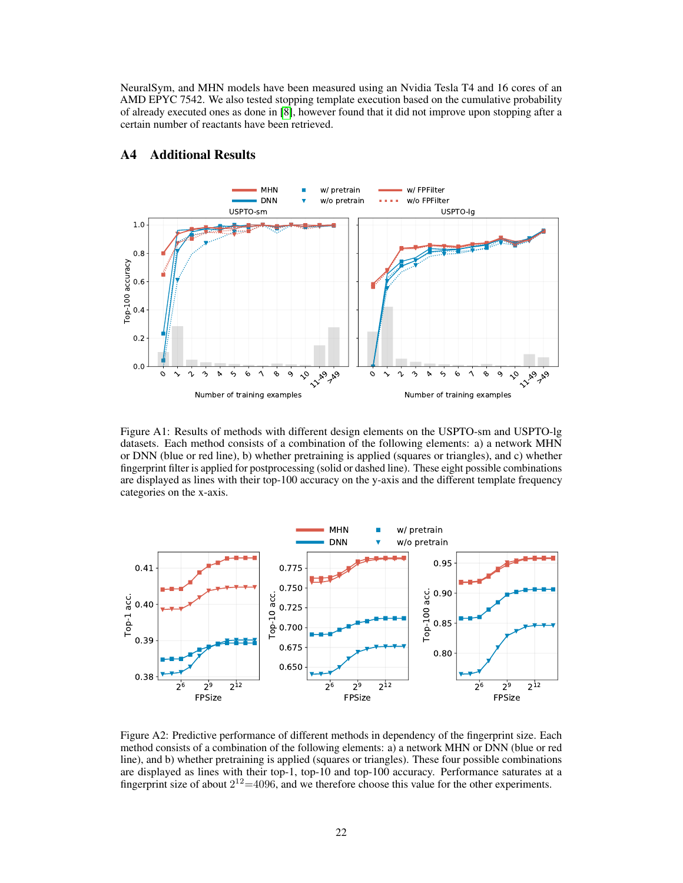NeuralSym, and MHN models have been measured using an Nvidia Tesla T4 and 16 cores of an AMD EPYC 7542. We also tested stopping template execution based on the cumulative probability of already executed ones as done in [\[8\]](#page-10-0), however found that it did not improve upon stopping after a certain number of reactants have been retrieved.



## <span id="page-21-0"></span>A4 Additional Results

Figure A1: Results of methods with different design elements on the USPTO-sm and USPTO-lg datasets. Each method consists of a combination of the following elements: a) a network MHN or DNN (blue or red line), b) whether pretraining is applied (squares or triangles), and c) whether fingerprint filter is applied for postprocessing (solid or dashed line). These eight possible combinations are displayed as lines with their top-100 accuracy on the y-axis and the different template frequency categories on the x-axis.



Figure A2: Predictive performance of different methods in dependency of the fingerprint size. Each method consists of a combination of the following elements: a) a network MHN or DNN (blue or red line), and b) whether pretraining is applied (squares or triangles). These four possible combinations are displayed as lines with their top-1, top-10 and top-100 accuracy. Performance saturates at a fingerprint size of about  $2^{12}$ =4096, and we therefore choose this value for the other experiments.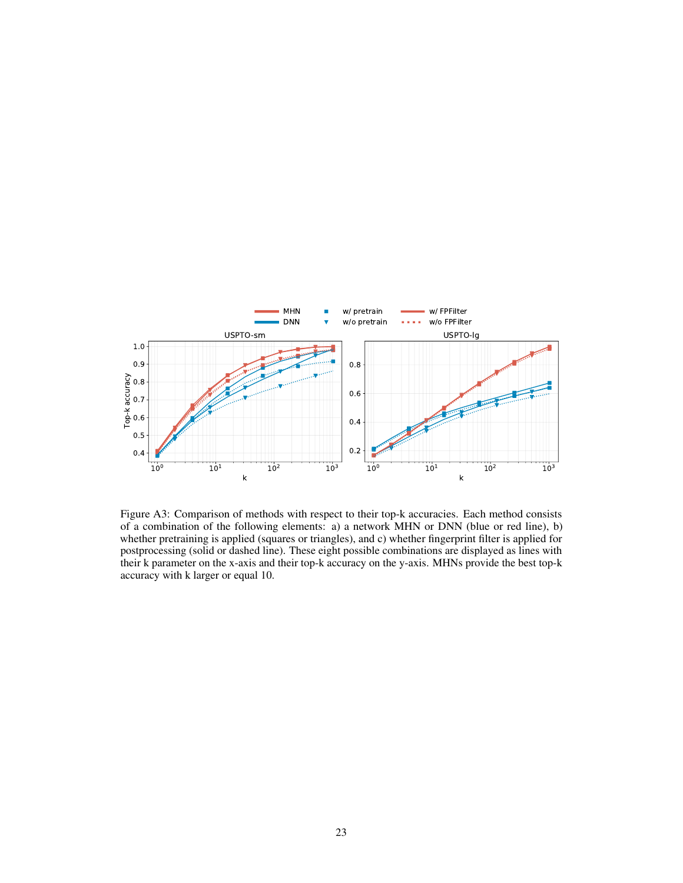

Figure A3: Comparison of methods with respect to their top-k accuracies. Each method consists of a combination of the following elements: a) a network MHN or DNN (blue or red line), b) whether pretraining is applied (squares or triangles), and c) whether fingerprint filter is applied for postprocessing (solid or dashed line). These eight possible combinations are displayed as lines with their k parameter on the x-axis and their top-k accuracy on the y-axis. MHNs provide the best top-k accuracy with k larger or equal 10.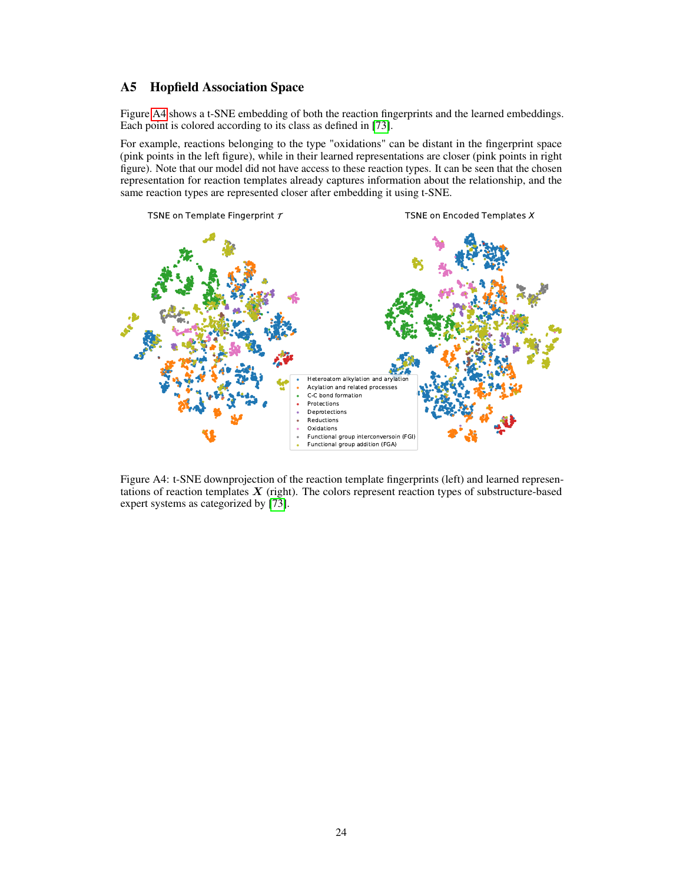## <span id="page-23-0"></span>A5 Hopfield Association Space

Figure [A4](#page-8-0) shows a t-SNE embedding of both the reaction fingerprints and the learned embeddings. Each point is colored according to its class as defined in [\[73\]](#page-13-6).

For example, reactions belonging to the type "oxidations" can be distant in the fingerprint space (pink points in the left figure), while in their learned representations are closer (pink points in right figure). Note that our model did not have access to these reaction types. It can be seen that the chosen representation for reaction templates already captures information about the relationship, and the same reaction types are represented closer after embedding it using t-SNE.



Figure A4: t-SNE downprojection of the reaction template fingerprints (left) and learned representations of reaction templates  $X$  (right). The colors represent reaction types of substructure-based expert systems as categorized by [\[73\]](#page-13-6).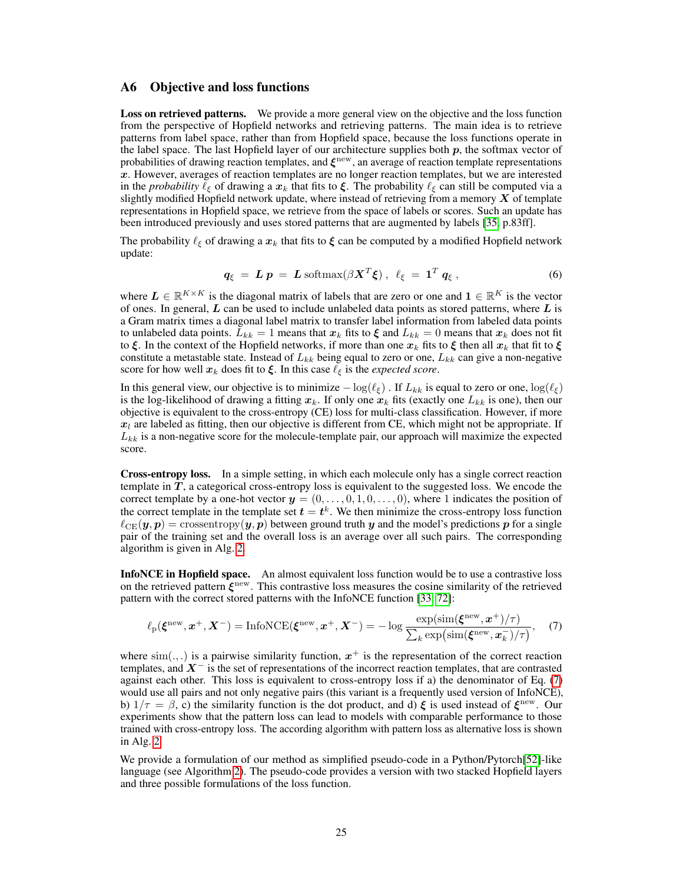### <span id="page-24-0"></span>A6 Objective and loss functions

**Loss on retrieved patterns.** We provide a more general view on the objective and the loss function from the perspective of Hopfield networks and retrieving patterns. The main idea is to retrieve patterns from label space, rather than from Hopfield space, because the loss functions operate in the label space. The last Hopfield layer of our architecture supplies both  $p$ , the softmax vector of probabilities of drawing reaction templates, and  $\xi^{\text{new}}$ , an average of reaction template representations  $x$ . However, averages of reaction templates are no longer reaction templates, but we are interested in the *probability*  $\ell_{\xi}$  of drawing a  $x_k$  that fits to  $\xi$ . The probability  $\ell_{\xi}$  can still be computed via a slightly modified Hopfield network update, where instead of retrieving from a memory  $X$  of template representations in Hopfield space, we retrieve from the space of labels or scores. Such an update has been introduced previously and uses stored patterns that are augmented by labels [\[35,](#page-11-6) p.83ff].

The probability  $\ell_{\xi}$  of drawing a  $x_k$  that fits to  $\xi$  can be computed by a modified Hopfield network update:

$$
q_{\xi} = L p = L \operatorname{softmax}(\beta X^T \xi), \quad \ell_{\xi} = 1^T q_{\xi}, \tag{6}
$$

where  $L \in \mathbb{R}^{K \times K}$  is the diagonal matrix of labels that are zero or one and  $1 \in \mathbb{R}^K$  is the vector of ones. In general,  $L$  can be used to include unlabeled data points as stored patterns, where  $L$  is a Gram matrix times a diagonal label matrix to transfer label information from labeled data points to unlabeled data points.  $L_{kk} = 1$  means that  $x_k$  fits to  $\xi$  and  $L_{kk} = 0$  means that  $x_k$  does not fit to  $\xi$ . In the context of the Hopfield networks, if more than one  $x_k$  fits to  $\xi$  then all  $x_k$  that fit to  $\xi$ constitute a metastable state. Instead of  $L_{kk}$  being equal to zero or one,  $L_{kk}$  can give a non-negative score for how well  $x_k$  does fit to  $\xi$ . In this case  $\ell_{\xi}$  is the *expected score*.

In this general view, our objective is to minimize  $-\log(\ell_{\epsilon})$ . If  $L_{kk}$  is equal to zero or one,  $\log(\ell_{\epsilon})$ is the log-likelihood of drawing a fitting  $x_k$ . If only one  $x_k$  fits (exactly one  $L_{kk}$  is one), then our objective is equivalent to the cross-entropy (CE) loss for multi-class classification. However, if more  $x_l$  are labeled as fitting, then our objective is different from CE, which might not be appropriate. If  $L_{kk}$  is a non-negative score for the molecule-template pair, our approach will maximize the expected score.

Cross-entropy loss. In a simple setting, in which each molecule only has a single correct reaction template in  $T$ , a categorical cross-entropy loss is equivalent to the suggested loss. We encode the correct template by a one-hot vector  $y = (0, \ldots, 0, 1, 0, \ldots, 0)$ , where 1 indicates the position of the correct template in the template set  $t = t^k$ . We then minimize the cross-entropy loss function  $\ell_{\text{CE}}(\mathbf{y}, p) = \text{crossover}(\mathbf{y}, p)$  between ground truth y and the model's predictions p for a single pair of the training set and the overall loss is an average over all such pairs. The corresponding algorithm is given in Alg. [2.](#page-25-0)

InfoNCE in Hopfield space. An almost equivalent loss function would be to use a contrastive loss on the retrieved pattern  $\xi^{\text{new}}$ . This contrastive loss measures the cosine similarity of the retrieved pattern with the correct stored patterns with the InfoNCE function [\[33,](#page-11-3) [72\]](#page-13-5):

<span id="page-24-1"></span>
$$
\ell_{\rm p}(\boldsymbol{\xi}^{\rm new}, \boldsymbol{x}^+, \boldsymbol{X}^-) = {\rm InfoNCE}(\boldsymbol{\xi}^{\rm new}, \boldsymbol{x}^+, \boldsymbol{X}^-) = -\log \frac{\exp(\operatorname{sim}(\boldsymbol{\xi}^{\rm new}, \boldsymbol{x}^+)/\tau)}{\sum_k \exp(\operatorname{sim}(\boldsymbol{\xi}^{\rm new}, \boldsymbol{x}_k^-)/\tau)},\tag{7}
$$

where  $\text{sim}(.,.)$  is a pairwise similarity function,  $x^+$  is the representation of the correct reaction templates, and  $X^-$  is the set of representations of the incorrect reaction templates, that are contrasted against each other. This loss is equivalent to cross-entropy loss if a) the denominator of Eq. [\(7\)](#page-24-1) would use all pairs and not only negative pairs (this variant is a frequently used version of InfoNCE), b)  $1/\tau = \beta$ , c) the similarity function is the dot product, and d)  $\xi$  is used instead of  $\xi^{\text{new}}$ . Our experiments show that the pattern loss can lead to models with comparable performance to those trained with cross-entropy loss. The according algorithm with pattern loss as alternative loss is shown in Alg. [2.](#page-25-0)

We provide a formulation of our method as simplified pseudo-code in a Python/Pytorch[\[52\]](#page-12-8)-like language (see Algorithm [2\)](#page-25-0). The pseudo-code provides a version with two stacked Hopfield layers and three possible formulations of the loss function.